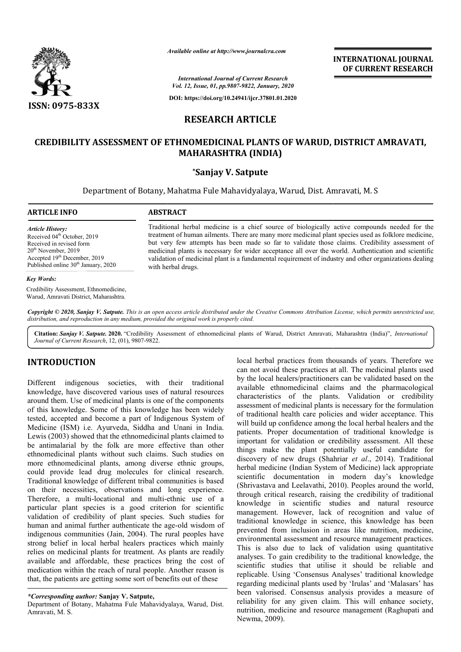

**INTERNATIONAL JOURNAL OF CURRENT RESEARCH**

*International Journal of Current Research Vol. 12, Issue, 01, pp.9807-9822, January, 2020*

**DOI: https://doi.org/10.24941/ijcr.37801.01.2020**

# **RESEARCH ARTICLE**

# **CREDIBILITY ASSESSMENT OF ETHNOMEDICINAL PLANTS OF WARUD, DISTRICT AMRAVATI, MAHARASHTRA (INDIA)**

## **\*Sanjay V. Satpute**

Department of Botany, Mahatma Fule Mahavidyalaya, Warud, Dist. Amravati, M. S Dist.

#### **ARTICLE INFO ABSTRACT**

*Article History:* Received 04<sup>th</sup> October, 2019 Received in revised form 20th November, 2019 Accepted 19<sup>th</sup> December, 2019 Published online 30<sup>th</sup> January, 2020

#### *Key Words:*

Credibility Assessment, Ethnomedicine, Warud, Amravati District, Maharashtra.

Traditional herbal medicine is a chief source of biologically active compounds needed for the treatment of human ailments. There are many more medicinal plant species used as folklore medicine, Traditional herbal medicine is a chief source of biologically active compounds needed for the treatment of human ailments. There are many more medicinal plant species used as folklore medicine, but very few attempts has be medicinal plants is necessary for wider acceptance all over the world. Authentication and scientific medicinal plants is necessary for wider acceptance all over the world. Authentication and scientific<br>validation of medicinal plant is a fundamental requirement of industry and other organizations dealing with herbal drugs. Available online at http://www.journalcra.com<br>
International Journal of Current Researci<br>
Vol. 12, Issue, 01, pp.9807-9822, January, 20<br>
DOI: https://doi.org/10.24941/ijcr.37801.01.2<br> **RESEARCH ARTICLE**<br> **AENT OF ETHNOMEDI** 

Copyright © 2020, Sanjay V. Satpute. This is an open access article distributed under the Creative Commons Attribution License, which permits unrestricted use, *distribution, and reproduction in any medium, provided the original work is properly cited.*

Citation: Sanjay V. Satpute. 2020. "Credibility Assessment of ethnomedicinal plants of Warud, District Amravati, Maharashtra (India)", *International Journal of Current Research*, 12, (01), 9807-9822.

## **INTRODUCTION**

Different indigenous societies, with their traditional knowledge, have discovered various uses of natural resources around them. Use of medicinal plants is one of the components of this knowledge. Some of this knowledge has been widely tested, accepted and become a part of Indigenous System of Medicine (ISM) i.e. Ayurveda, Siddha and Unani in India. Lewis (2003) showed that the ethnomedicinal plants claimed to be antimalarial by the folk are more effective than other ethnomedicinal plants without such claims. Such studies on more ethnomedicinal plants, among diverse ethnic groups, could provide lead drug molecules for clinical research. Traditional knowledge of different tribal communities is based on their necessities, observations and long experience. ethnomedicinal plants without such claims. Such studies on more ethnomedicinal plants, among diverse ethnic groups, could provide lead drug molecules for clinical research. Traditional knowledge of different tribal communi particular plant species is a good criterion for scientific validation of credibility of plant species. Such studies for human and animal further authenticate the age-old wisdom of indigenous communities (Jain, 2004). The rural peoples have strong belief in local herbal healers practices which mainly relies on medicinal plants for treatment. As plants are readily available and affordable, these practices bring the cost of medication within the reach of rural people. Another reason is that, the patients are getting some sort of benefits out of these

Department of Botany, Mahatma Fule Mahavidyalaya, Warud, Dist. Amravati, M. S.

local herbal practices from thus and top since from the sealer since the sealer soft natural properties with their traditional by the local healers/practitioners can be validated based on the charge of natural resources wh local herbal practices from thousands of years. Therefore we can not avoid these practices at all. The medicinal plants used by the local healers/practitioners can be validated based on the available ethnomedicinal claims and the pharmacological characteristics of the plants. Validation or credibility assessment of medicinal plants is necessary for the formulation of traditional health care policies and wider acceptance. This will build up confidence among the local herbal healers and the patients. Proper documentation of traditional knowledge is important for validation or credibility assessment. All these things make the plant potentially useful candidate for discovery of new drugs (Shahriar *et al*., 2014). Traditional herbal medicine (Indian System of Medicine) lack appropriate scientific documentation in modern day's knowledge (Shrivastava and Leelavathi, 2010). Peoples around the world, through critical research, raising the credibility of traditional knowledge in scientific studies and natural resource management. However, lack of recognition and value of traditional knowledge in science, this knowledge prevented from inclusion in areas like nutrition, medicine, environmental assessment and resource management practices. This is also due to lack of validation using quantitative analyses. To gain credibility to the traditional knowledge, the scientific studies that utilise it should be reliable and replicable. Using 'Consensus Analyses' traditional knowledge regarding medicinal plants used by 'Irulas' and 'Malasars' has been valorised. Consensus analysis provides a measure of reliability for any given claim. This will enhance society, nutrition, medicine and resource management (Raghupati and Newma, 2009). by the local healers/practitioners can be validated based on the available ethnomedicinal claims and the pharmacological characteristics of the plants. Validation or credibility assessment of medicinal plants is necessary ealth care policies and wider acceptance.<br>
Infidence among the local herbal healers and<br>
International the candidation or credibility assessment. All the<br>
International the plant potentially useful candidate herbal medicine (Indian System of Medicine) lack appropriate<br>scientific documentation in modern day's knowledge<br>(Shrivastava and Leelavathi, 2010). Peoples around the world, through critical research, raising the credibility of traditional knowledge in scientific studies and natural resource management. However, lack of recognition and value of traditional knowledge in science, this knowledge environmental assessment and resource management practices.<br>This is also due to lack of validation using quantitative<br>analyses. To gain credibility to the traditional knowledge, the<br>scientific studies that utilise it shoul

*<sup>\*</sup>Corresponding author:* **Sanjay V. Satpute,**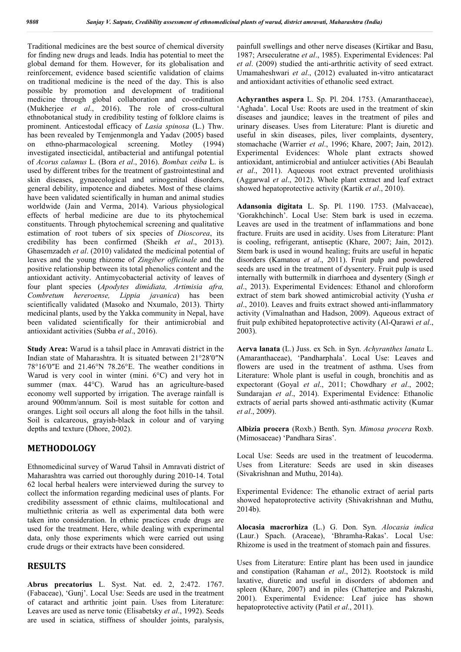Traditional medicines are the best source of chemical diversity for finding new drugs and leads. India has potential to meet the global demand for them. However, for its globalisation and reinforcement, evidence based scientific validation of claims on traditional medicine is the need of the day. This is also possible by promotion and development of traditional medicine through global collaboration and co-ordination (Mukherjee *et al*., 2016). The role of cross-cultural ethnobotanical study in credibility testing of folklore claims is prominent. Anticestodal efficacy of *Lasia spinosa* (L.) Thw. has been revealed by Temjenmongla and Yadav (2005) based on ethno-pharmacological screening. Motley (1994) investigated insecticidal, antibacterial and antifungal potential of *Acorus calamus* L. (Bora *et al*., 2016). *Bombax ceiba* L. is used by different tribes for the treatment of gastrointestinal and skin diseases, gynaecological and urinogenital disorders, general debility, impotence and diabetes. Most of these claims have been validated scientifically in human and animal studies worldwide (Jain and Verma, 2014). Various physiological effects of herbal medicine are due to its phytochemical constituents. Through phytochemical screening and qualitative estimation of root tubers of six species of *Dioscorea*, its credibility has been confirmed (Sheikh *et al*., 2013). Ghasemzadeh *et al*. (2010) validated the medicinal potential of leaves and the young rhizome of *Zingiber officinale* and the positive relationship between its total phenolics content and the antioxidant activity. Antimycobacterial activity of leaves of four plant species (*Apodytes dimidiata, Artimisia afra, Combretum hereroense, Lippia javanica*) has been scientifically validated (Masoko and Nxumalo, 2013). Thirty medicinal plants, used by the Yakka community in Nepal, have been validated scientifically for their antimicrobial and antioxidant activities (Subba *et al*., 2016).

**Study Area:** Warud is a tahsil place in Amravati district in the Indian state of Maharashtra. It is situated between 21°28′0″N 78°16′0″E and 21.46°N 78.26°E. The weather conditions in Warud is very cool in winter (mini. 6°C) and very hot in summer (max. 44°C). Warud has an agriculture-based economy well supported by irrigation. The average rainfall is around 900mm/annum. Soil is most suitable for cotton and oranges. Light soil occurs all along the foot hills in the tahsil. Soil is calcareous, grayish-black in colour and of varying depths and texture (Dhore, 2002).

## **METHODOLOGY**

Ethnomedicinal survey of Warud Tahsil in Amravati district of Maharashtra was carried out thoroughly during 2010-14. Total 62 local herbal healers were interviewed during the survey to collect the information regarding medicinal uses of plants. For credibility assessment of ethnic claims, multilocational and multiethnic criteria as well as experimental data both were taken into consideration. In ethnic practices crude drugs are used for the treatment. Here, while dealing with experimental data, only those experiments which were carried out using crude drugs or their extracts have been considered.

# **RESULTS**

**Abrus precatorius** L. Syst. Nat. ed. 2, 2:472. 1767. (Fabaceae), 'Gunj'. Local Use: Seeds are used in the treatment of cataract and arthritic joint pain. Uses from Literature: Leaves are used as nerve tonic (Elisabetsky *et al*., 1992). Seeds are used in sciatica, stiffness of shoulder joints, paralysis,

painfull swellings and other nerve diseases (Kirtikar and Basu, 1987; Arseculeratne *et al*., 1985). Experimental Evidences: Pal *et al*. (2009) studied the anti-arthritic activity of seed extract. Umamaheshwari *et al*., (2012) evaluated in-vitro anticataract and antioxidant activities of ethanolic seed extract.

**Achyranthes aspera** L. Sp. Pl. 204. 1753. (Amaranthaceae), 'Aghada'. Local Use: Roots are used in the treatment of skin diseases and jaundice; leaves in the treatment of piles and urinary diseases. Uses from Literature: Plant is diuretic and useful in skin diseases, piles, liver complaints, dysentery, stomachache (Warrier *et al*., 1996; Khare, 2007; Jain, 2012). Experimental Evidences: Whole plant extracts showed antioxidant, antimicrobial and antiulcer activities (Abi Beaulah *et al*., 2011). Aqueous root extract prevented urolithiasis (Aggarwal *et al*., 2012). Whole plant extract and leaf extract showed hepatoprotective activity (Kartik *et al*., 2010).

**Adansonia digitata** L. Sp. Pl. 1190. 1753. (Malvaceae), 'Gorakhchinch'. Local Use: Stem bark is used in eczema. Leaves are used in the treatment of inflammations and bone fracture. Fruits are used in acidity. Uses from Literature: Plant is cooling, refrigerant, antiseptic (Khare, 2007; Jain, 2012). Stem bark is used in wound healing; fruits are useful in hepatic disorders (Kamatou *et al*., 2011). Fruit pulp and powdered seeds are used in the treatment of dysentery. Fruit pulp is used internally with buttermilk in diarrhoea and dysentery (Singh *et al*., 2013). Experimental Evidences: Ethanol and chloroform extract of stem bark showed antimicrobial activity (Yusha *et al*., 2010). Leaves and fruits extract showed anti-inflammatory activity (Vimalnathan and Hadson, 2009). Aqueous extract of fruit pulp exhibited hepatoprotective activity (Al-Qarawi *et al*., 2003).

**Aerva lanata** (L.) Juss. ex Sch. in Syn. *Achyranthes lanata* L. (Amaranthaceae), 'Pandharphala'. Local Use: Leaves and flowers are used in the treatment of asthma. Uses from Literature: Whole plant is useful in cough, bronchitis and as expectorant (Goyal *et al*., 2011; Chowdhary *et al*., 2002; Sundarajan *et al*., 2014). Experimental Evidence: Ethanolic extracts of aerial parts showed anti-asthmatic activity (Kumar *et al*., 2009).

**Albizia procera** (Roxb.) Benth. Syn. *Mimosa procera* Roxb. (Mimosaceae) 'Pandhara Siras'.

Local Use: Seeds are used in the treatment of leucoderma. Uses from Literature: Seeds are used in skin diseases (Sivakrishnan and Muthu, 2014a).

Experimental Evidence: The ethanolic extract of aerial parts showed hepatoprotective activity (Shivakrishnan and Muthu, 2014b).

**Alocasia macrorhiza** (L.) G. Don. Syn. *Alocasia indica*  (Laur.) Spach. (Araceae), 'Bhramha-Rakas'. Local Use: Rhizome is used in the treatment of stomach pain and fissures.

Uses from Literature: Entire plant has been used in jaundice and constipation (Rahaman *et al*., 2012). Rootstock is mild laxative, diuretic and useful in disorders of abdomen and spleen (Khare, 2007) and in piles (Chatterjee and Pakrashi, 2001). Experimental Evidence: Leaf juice has shown hepatoprotective activity (Patil *et al*., 2011).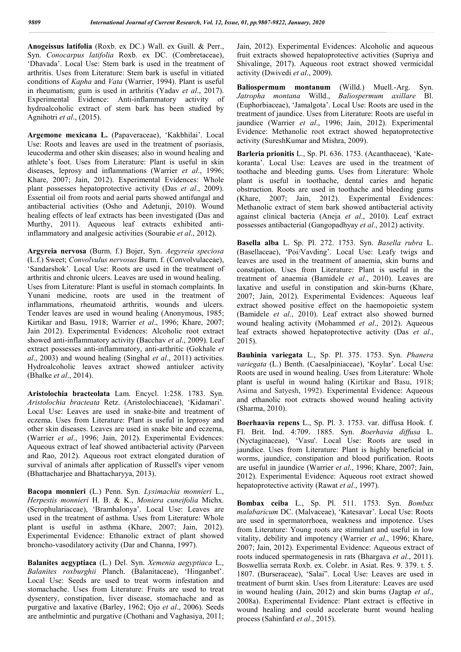**Anogeissus latifolia** (Roxb. ex DC.) Wall. ex Guill. & Perr., Syn. *Conocarpus latifolia* Roxb. ex DC. (Combretaceae), 'Dhavada'. Local Use: Stem bark is used in the treatment of arthritis. Uses from Literature: Stem bark is useful in vitiated conditions of *Kapha* and *Vata* (Warrier, 1994). Plant is useful in rheumatism; gum is used in arthritis (Yadav *et al*., 2017). Experimental Evidence: Anti-inflammatory activity of hydroalcoholic extract of stem bark has been studied by Agnihotri *et al*., (2015).

**Argemone mexicana L.** (Papaveraceae), 'Kakbhilai'. Local Use: Roots and leaves are used in the treatment of psoriasis, leucoderma and other skin diseases; also in wound healing and athlete's foot. Uses from Literature: Plant is useful in skin diseases, leprosy and inflammations (Warrier *et al*., 1996; Khare, 2007; Jain, 2012). Experimental Evidences: Whole plant possesses hepatoprotective activity (Das *et al*., 2009). Essential oil from roots and aerial parts showed antifungal and antibacterial activities (Osho and Adetunji, 2010). Wound healing effects of leaf extracts has been investigated (Das and Murthy, 2011). Aqueous leaf extracts exhibited antiinflammatory and analgesic activities (Sourabie *et al*., 2012).

**Argyreia nervosa** (Burm. f.) Bojer, Syn. *Aegyreia speciosa*  (L.f.) Sweet; *Convolvulus nervosus* Burm. f. (Convolvulaceae), 'Sandarshok'. Local Use: Roots are used in the treatment of arthritis and chronic ulcers. Leaves are used in wound healing. Uses from Literature: Plant is useful in stomach complaints. In Yunani medicine, roots are used in the treatment of inflammations, rheumatoid arthritis, wounds and ulcers. Tender leaves are used in wound healing (Anonymous, 1985; Kirtikar and Basu, 1918; Warrier *et al*., 1996; Khare, 2007; Jain 2012). Experimental Evidences: Alcoholic root extract showed anti-inflammatory activity (Bacchav *et al*., 2009). Leaf extract possesses anti-inflammatory, anti-arthritic (Gokhale *et al*., 2003) and wound healing (Singhal *et al*., 2011) activities. Hydroalcoholic leaves axtract showed antiulcer activity (Bhalke *et al*., 2014).

**Aristolochia bracteolata** Lam. Encycl. 1:258. 1783. Syn. *Aristolochia bracteata* Retz. (Aristolochiaceae), 'Kidamari'. Local Use: Leaves are used in snake-bite and treatment of eczema. Uses from Literature: Plant is useful in leprosy and other skin diseases. Leaves are used in snake bite and eczema, (Warrier *et al*., 1996; Jain, 2012). Experimental Evidences: Aqueous extract of leaf showed antibacterial activity (Parveen and Rao, 2012). Aqueous root extract elongated duration of survival of animals after application of Russell's viper venom (Bhattacharjee and Bhattacharyya, 2013).

**Bacopa monnieri** (L.) Penn. Syn. *Lysimachia monnieri* L., *Herpestis monnieri* H. B. & K., *Moniera cuneifolia* Michx. (Scrophulariaceae), 'Bramhalonya'. Local Use: Leaves are used in the treatment of asthma. Uses from Literature: Whole plant is useful in asthma (Khare, 2007; Jain, 2012). Experimental Evidence: Ethanolic extract of plant showed broncho-vasodilatory activity (Dar and Channa, 1997).

**Balanites aegyptiaca** (L.) Del. Syn. *Xemenia aegyptiaca* L., *Balanites roxburghii* Planch. (Balanitaceae), 'Hinganbet'. Local Use: Seeds are used to treat worm infestation and stomachache. Uses from Literature: Fruits are used to treat dysentery, constipation, liver disease, stomachache and as purgative and laxative (Barley, 1962; Ojo *et al*., 2006). Seeds are anthelmintic and purgative (Chothani and Vaghasiya, 2011;

Jain, 2012). Experimental Evidences: Alcoholic and aqueous fruit extracts showed hepatoprotective activities (Supriya and Shivalinge, 2017). Aqueous root extract showed vermicidal activity (Dwivedi *et al*., 2009).

**Baliospermum montanum** (Willd.) Muell.-Arg. Syn. *Jatropha montana* Willd., *Baliospermum axillare* Bl. (Euphorbiaceae), 'Jamalgota'. Local Use: Roots are used in the treatment of jaundice. Uses from Literature: Roots are useful in jaundice (Warrier *et al*., 1996; Jain, 2012). Experimental Evidence: Methanolic root extract showed hepatoprotective activity (SureshKumar and Mishra, 2009).

**Barleria prionitis** L., Sp. Pl. 636. 1753. (Acanthaceae), 'Katekoranta'. Local Use: Leaves are used in the treatment of toothache and bleeding gums. Uses from Literature: Whole plant is useful in toothache, dental caries and hepatic obstruction. Roots are used in toothache and bleeding gums (Khare, 2007; Jain, 2012). Experimental Evidences: Methanolic extract of stem bark showed antibacterial activity against clinical bacteria (Aneja *et al*., 2010). Leaf extract possesses antibacterial (Gangopadhyay *et al*., 2012) activity.

**Basella alba** L. Sp. Pl. 272. 1753. Syn. *Basella rubra* L. (Basellaceae), 'Poi/Vavding'. Local Use: Leafy twigs and leaves are used in the treatment of anaemia, skin burns and constipation. Uses from Literature: Plant is useful in the treatment of anaemia (Bamidele *et al*., 2010). Leaves are laxative and useful in constipation and skin-burns (Khare, 2007; Jain, 2012). Experimental Evidences: Aqueous leaf extract showed positive effect on the haemopoietic system (Bamidele *et al*., 2010). Leaf extract also showed burned wound healing activity (Mohammed *et al*., 2012). Aqueous leaf extracts showed hepatoprotective activity (Das *et al*., 2015).

**Bauhinia variegata** L., Sp. Pl. 375. 1753. Syn. *Phanera variegata* (L.) Benth. (Caesalpiniaceae), 'Koylar'. Local Use: Roots are used in wound healing. Uses from Literature: Whole plant is useful in wound haling (Kirtikar and Basu, 1918; Asima and Satyesh, 1992). Experimental Evidence: Aqueous and ethanolic root extracts showed wound healing activity (Sharma, 2010).

**Boerhaavia repens** L., Sp. Pl. 3. 1753. var. diffusa Hook. f. Fl. Brit. Ind. 4:709. 1885. Syn. *Boerhavia diffusa* L. (Nyctaginaceae), 'Vasu'. Local Use: Roots are used in jaundice. Uses from Literature: Plant is highly beneficial in worms, jaundice, constipation and blood purification. Roots are useful in jaundice (Warrier *et al*., 1996; Khare, 2007; Jain, 2012). Experimental Evidence: Aqueous root extract showed hepatoprotective activity (Rawat *et al*., 1997).

**Bombax ceiba** L., Sp. Pl. 511. 1753. Syn. *Bombax malabaricum* DC. (Malvaceae), 'Katesavar'. Local Use: Roots are used in spermatorrhoea, weakness and impotence. Uses from Literature: Young roots are stimulant and useful in low vitality, debility and impotency (Warrier *et al*., 1996; Khare, 2007; Jain, 2012). Experimental Evidence: Aqueous extract of roots induced spermatogenesis in rats (Bhargava *et al*., 2011). Boswellia serrata Roxb. ex. Colebr. in Asiat. Res. 9. 379. t. 5. 1807. (Burseraceae), 'Salai". Local Use: Leaves are used in treatment of burnt skin. Uses from Literature: Leaves are used in wound healing (Jain, 2012) and skin burns (Jagtap *et al*., 2008a). Experimental Evidence: Plant extract is effective in wound healing and could accelerate burnt wound healing process (Sahinfard *et al*., 2015).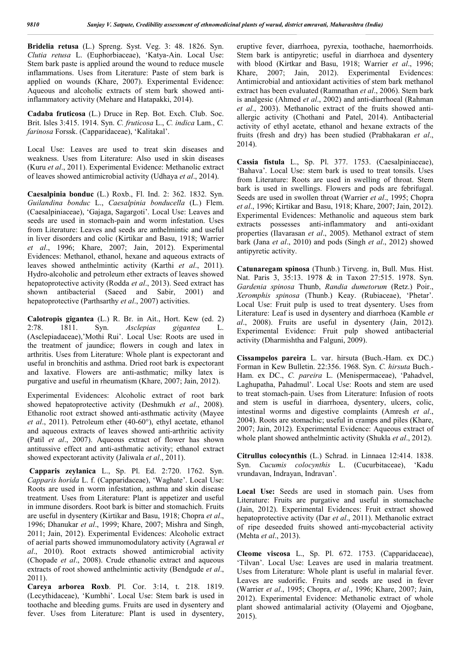**Bridelia retusa** (L.) Spreng. Syst. Veg. 3: 48. 1826. Syn. *Clutia retusa* L. (Euphorbiaceae), 'Katya-Ain. Local Use: Stem bark paste is applied around the wound to reduce muscle inflammations. Uses from Literature: Paste of stem bark is applied on wounds (Khare, 2007). Experimental Evidence: Aqueous and alcoholic extracts of stem bark showed antiinflammatory activity (Mehare and Hatapakki, 2014).

**Cadaba fruticosa** (L.) Druce in Rep. Bot. Exch. Club. Soc. Brit. Isles 3:415. 1914. Syn. *C. fruticosa* L., *C. indica* Lam., *C. farinosa* Forssk. (Capparidaceae), 'Kalitakal'.

Local Use: Leaves are used to treat skin diseases and weakness. Uses from Literature: Also used in skin diseases (Kuru *et al*., 2011). Experimental Evidence: Methanolic extract of leaves showed antimicrobial activity (Udhaya *et al*., 2014).

**Caesalpinia bonduc** (L.) Roxb., Fl. Ind. 2: 362. 1832. Syn. *Guilandina bonduc* L., *Caesalpinia bonducella* (L.) Flem. (Caesalpiniaceae), 'Gajaga, Sagargoti'. Local Use: Leaves and seeds are used in stomach-pain and worm infestation. Uses from Literature: Leaves and seeds are anthelmintic and useful in liver disorders and colic (Kirtikar and Basu, 1918; Warrier *et al*., 1996; Khare, 2007; Jain, 2012). Experimental Evidences: Methanol, ethanol, hexane and aqueous extracts of leaves showed anthelmintic activity (Karthi *et al*., 2011). Hydro-alcoholic and petroleum ether extracts of leaves showed hepatoprotective activity (Rodda *et al*., 2013). Seed extract has shown antibacterial (Saeed and Sabir, 2001) and hepatoprotective (Parthsarthy *et al*., 2007) activities.

**Calotropis gigantea** (L.) R. Br. in Ait., Hort. Kew (ed. 2) 2:78. 1811. Syn. *Asclepias gigantea* L. (Asclepiadaceae),'Mothi Rui'. Local Use: Roots are used in the treatment of jaundice; flowers in cough and latex in arthritis. Uses from Literature: Whole plant is expectorant and useful in bronchitis and asthma. Dried root bark is expectorant and laxative. Flowers are anti-asthmatic; milky latex is purgative and useful in rheumatism (Khare, 2007; Jain, 2012).

Experimental Evidences: Alcoholic extract of root bark showed hepatoprotective activity (Deshmukh *et al*., 2008). Ethanolic root extract showed anti-asthmatic activity (Mayee *et al*., 2011). Petroleum ether (40-60°), ethyl acetate, ethanol and aqueous extracts of leaves showed anti-arthritic activity (Patil *et al*., 2007). Aqueous extract of flower has shown antitussive effect and anti-asthmatic activity; ethanol extract showed expectorant activity (Jaliwala *et al*., 2011).

**Capparis zeylanica** L., Sp. Pl. Ed. 2:720. 1762. Syn. *Capparis horida* L. f. (Capparidaceae), 'Waghate'. Local Use: Roots are used in worm infestation, asthma and skin disease treatment. Uses from Literature: Plant is appetizer and useful in immune disorders. Root bark is bitter and stomachich. Fruits are useful in dysentery (Kirtikar and Basu, 1918; Chopra *et al*., 1996; Dhanukar *et al*., 1999; Khare, 2007; Mishra and Singh, 2011; Jain, 2012). Experimental Evidences: Alcoholic extract of aerial parts showed immunomodulatory activity (Agrawal *et al*., 2010). Root extracts showed antimicrobial activity (Chopade *et al*., 2008). Crude ethanolic extract and aqueous extracts of root showed anthelmintic activity (Bendgude *et al*., 2011).

**Careya arborea Roxb**. Pl. Cor. 3:14, t. 218. 1819. (Lecythidaceae), 'Kumbhi'. Local Use: Stem bark is used in toothache and bleeding gums. Fruits are used in dysentery and fever. Uses from Literature: Plant is used in dysentery, eruptive fever, diarrhoea, pyrexia, toothache, haemorrhoids. Stem bark is antipyretic; useful in diarrhoea and dysentery with blood (Kirtkar and Basu, 1918; Warrier *et al*., 1996; Khare, 2007; Jain, 2012). Experimental Evidences: Antimicrobial and antioxidant activities of stem bark methanol extract has been evaluated (Ramnathan *et al*., 2006). Stem bark is analgesic (Ahmed *et al*., 2002) and anti-diarrhoeal (Rahman *et al*., 2003). Methanolic extract of the fruits showed antiallergic activity (Chothani and Patel, 2014). Antibacterial activity of ethyl acetate, ethanol and hexane extracts of the fruits (fresh and dry) has been studied (Prabhakaran *et al*., 2014).

**Cassia fistula** L., Sp. Pl. 377. 1753. (Caesalpiniaceae), 'Bahava'. Local Use: stem bark is used to treat tonsils. Uses from Literature: Roots are used in swelling of throat. Stem bark is used in swellings. Flowers and pods are febrifugal. Seeds are used in swollen throat (Warrier *et al*., 1995; Chopra *et al*., 1996; Kirtikar and Basu, 1918; Khare, 2007; Jain, 2012). Experimental Evidences: Methanolic and aqueous stem bark extracts possesses anti-inflammatory and anti-oxidant properties (Ilavarasan *et al*., 2005). Methanol extract of stem bark (Jana *et al*., 2010) and pods (Singh *et al*., 2012) showed antipyretic activity.

**Catunaregam spinosa** (Thunb.) Tirveng. in, Bull. Mus. Hist. Nat. Paris 3, 35:13. 1978 & in Taxon 27:515. 1978. Syn. *Gardenia spinosa* Thunb, *Randia dumetorum* (Retz.) Poir., *Xeromphis spinosa* (Thunb.) Keay. (Rubiaceae), 'Phetar'. Local Use: Fruit pulp is used to treat dysentery. Uses from Literature: Leaf is used in dysentery and diarrhoea (Kamble *et al*., 2008). Fruits are useful in dysentery (Jain, 2012). Experimental Evidence: Fruit pulp showed antibacterial activity (Dharmishtha and Falguni, 2009).

**Cissampelos pareira** L. var. hirsuta (Buch.-Ham. ex DC.) Forman in Kew Bulletin. 22:356. 1968. Syn. *C. hirsuta* Buch.- Ham. ex DC., *C. pareira* L. (Menispermaceae), 'Pahadvel, Laghupatha, Pahadmul'. Local Use: Roots and stem are used to treat stomach-pain. Uses from Literature: Infusion of roots and stem is useful in diarrhoea, dysentery, ulcers, colic, intestinal worms and digestive complaints (Amresh *et al*., 2004). Roots are stomachic; useful in cramps and piles (Khare, 2007; Jain, 2012). Experimental Evidence: Aqueous extract of whole plant showed anthelmintic activity (Shukla *et al*., 2012).

**Citrullus colocynthis** (L.) Schrad. in Linnaea 12:414. 1838. Syn. *Cucumis colocynthis* L. (Cucurbitaceae), 'Kadu vrundavan, Indrayan, Indravan'.

**Local Use:** Seeds are used in stomach pain. Uses from Literature: Fruits are purgative and useful in stomachache (Jain, 2012). Experimental Evidences: Fruit extract showed hepatoprotective activity (Dar *et al*., 2011). Methanolic extract of ripe deseeded fruits showed anti-mycobacterial activity (Mehta *et al*., 2013).

**Cleome viscosa** L., Sp. Pl. 672. 1753. (Capparidaceae), 'Tilvan'. Local Use: Leaves are used in malaria treatment. Uses from Literature: Whole plant is useful in malarial fever. Leaves are sudorific. Fruits and seeds are used in fever (Warrier *et al*., 1995; Chopra, *et al*., 1996; Khare, 2007; Jain, 2012). Experimental Evidence: Methanolic extract of whole plant showed antimalarial activity (Olayemi and Ojogbane, 2015).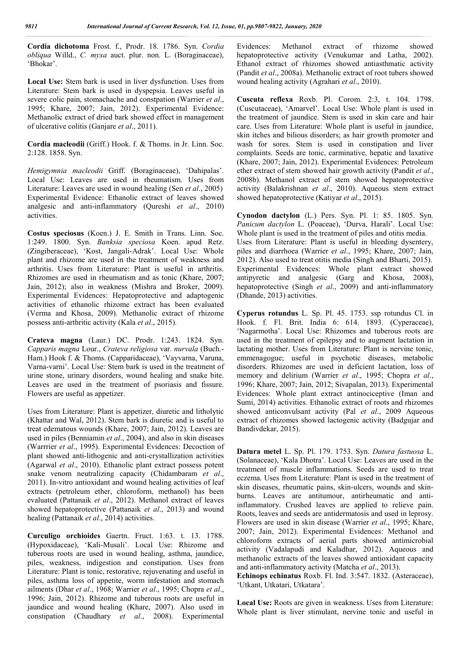**Cordia dichotoma** Frost. f., Prodr. 18. 1786. Syn. *Cordia obliqua* Willd., *C. myxa* auct. plur. non. L. (Boraginaceae), 'Bhokar'.

**Local Use:** Stem bark is used in liver dysfunction. Uses from Literature: Stem bark is used in dyspepsia. Leaves useful in severe colic pain, stomachache and constpation (Warrier *et al*., 1995; Khare, 2007; Jain, 2012). Experimental Evidence: Methanolic extract of dried bark showed effect in management of ulcerative colitis (Ganjare *et al*., 2011).

**Cordia macleodii** (Griff.) Hook. f. & Thoms. in Jr. Linn. Soc. 2:128. 1858. Syn.

*Hemigymnia macleodii* Griff. (Boraginaceae), 'Dahipalas'. Local Use: Leaves are used in rheumatism. Uses from Literature: Leaves are used in wound healing (Sen *et al*., 2005) Experimental Evidence: Ethanolic extract of leaves showed analgesic and anti-inflammatory (Qureshi *et al*., 2010) activities.

**Costus speciosus** (Koen.) J. E. Smith in Trans. Linn. Soc. 1:249. 1800. Syn. *Banksia speciosa* Koen. apud Retz. (Zingiberaceae), 'Kost, Jangali-Adrak'. Local Use: Whole plant and rhizome are used in the treatment of weakness and arthritis. Uses from Literature: Plant is useful in arthritis. Rhizomes are used in rheumatism and as tonic (Khare, 2007; Jain, 2012); also in weakness (Mishra and Broker, 2009). Experimental Evidences: Hepatoprotective and adaptogenic activities of ethanolic rhizome extract has been evaluated (Verma and Khosa, 2009). Methanolic extract of rhizome possess anti-arthritic activity (Kala *et al*., 2015).

**Crateva magna** (Laur.) DC. Prodr. 1:243. 1824. Syn. *Capparis magna* Lour., *Crateva religiosa* var. *nurvala* (Buch.- Ham.) Hook f. & Thoms. (Capparidaceae), 'Vayvarna, Varuna, Varna-varni'. Local Use: Stem bark is used in the treatment of urine stone, urinary disorders, wound healing and snake bite. Leaves are used in the treatment of psoriasis and fissure. Flowers are useful as appetizer.

Uses from Literature: Plant is appetizer, diuretic and litholytic (Khattar and Wal, 2012). Stem bark is diuretic and is useful to treat edematous wounds (Khare, 2007; Jain, 2012). Leaves are used in piles (Benniamin *et al*., 2004), and also in skin diseases (Warrrier *et al*., 1995). Experimental Evidences: Decoction of plant showed anti-lithogenic and anti-crystallization activities (Agarwal *et al*., 2010). Ethanolic plant extract possess potent snake venom neutralizing capacity (Chidambaram *et al*., 2011). In-vitro antioxidant and wound healing activities of leaf extracts (petroleum ether, chloroform, methanol) has been evaluated (Pattanaik *et al*., 2012). Methanol extract of leaves showed hepatoprotective (Pattanaik *et al*., 2013) and wound healing (Pattanaik *et al*., 2014) activities.

**Curculigo orchioides** Gaertn. Fruct. 1:63. t. 13. 1788. (Hypoxidaceae), 'Kali-Musali'. Local Use: Rhizome and tuberous roots are used in wound healing, asthma, jaundice, piles, weakness, indigestion and constipation. Uses from Literature: Plant is tonic, restorative, rejuvenating and useful in piles, asthma loss of appetite, worm infestation and stomach ailments (Dhar *et al*., 1968; Warrier *et al*., 1995; Chopra *et al*., 1996; Jain, 2012). Rhizome and tuberous roots are useful in jaundice and wound healing (Khare, 2007). Also used in constipation (Chaudhary *et al*., 2008). Experimental

Evidences: Methanol extract of rhizome showed hepatoprotective activity (Venukumar and Latha, 2002). Ethanol extract of rhizomes showed antiasthmatic activity (Pandit *et al*., 2008a). Methanolic extract of root tubers showed wound healing activity (Agrahari *et al*., 2010).

**Cuscuta reflexa** Roxb. Pl. Corom. 2:3, t. 104. 1798. (Cuscutaceae), 'Amarvel'. Local Use: Whole plant is used in the treatment of jaundice. Stem is used in skin care and hair care. Uses from Literature: Whole plant is useful in jaundice, skin itches and bilious disorders; as hair growth promoter and wash for sores. Stem is used in constipation and liver complaints. Seeds are tonic, carminative, hepatic and laxative (Khare, 2007; Jain, 2012). Experimental Evidences: Petroleum ether extract of stem showed hair growth activity (Pandit *et al*., 2008b). Methanol extract of stem showed hepatoprotective activity (Balakrishnan *et al*., 2010). Aqueous stem extract showed hepatoprotective (Katiyar *et al*., 2015).

**Cynodon dactylon** (L.) Pers. Syn. Pl. 1: 85. 1805. Syn. *Panicum dactylon* L. (Poaceae), 'Durva, Harali'. Local Use: Whole plant is used in the treatment of piles and otitis media. Uses from Literature: Plant is useful in bleeding dysentery, piles and diarrhoea (Warrier *et al*., 1995; Khare, 2007; Jain, 2012). Also used to treat otitis media (Singh and Bharti, 2015). Experimental Evidences: Whole plant extract showed antipyretic and analgesic (Garg and Khosa, 2008), hepatoprotective (Singh *et al*., 2009) and anti-inflammatory (Dhande, 2013) activities.

**Cyperus rotundus** L. Sp. Pl. 45. 1753. ssp rotundus Cl. in Hook. f. Fl. Brit. India 6: 614. 1893. (Cyperaceae), 'Nagarmotha'. Local Use: Rhizomes and tuberous roots are used in the treatment of epilepsy and to augment lactation in lactating mother. Uses from Literature: Plant is nervine tonic, emmenagogue; useful in psychotic diseases, metabolic disorders. Rhizomes are used in deficient lactation, loss of memory and delirium (Warrier *et al*., 1995; Chopra *et al*., 1996; Khare, 2007; Jain, 2012; Sivapalan, 2013). Experimental Evidences: Whole plant extract antinociceptive (Iman and Sumi, 2014) activities. Ethanolic extract of roots and rhizomes showed anticonvulsant activity (Pal *et al*., 2009 Aqueous extract of rhizomes showed lactogenic activity (Badgujar and Bandivdekar, 2015).

**Datura metel** L. Sp. Pl. 179. 1753. Syn. *Datura fastuosa* L. (Solanaceae), 'Kala Dhotra'. Local Use: Leaves are used in the treatment of muscle inflammations. Seeds are used to treat eczema. Uses from Literature: Plant is used in the treatment of skin diseases, rheumatic pains, skin-ulcers, wounds and skinburns. Leaves are antitumour, antirheumatic and antiinflammatory. Crushed leaves are applied to relieve pain. Roots, leaves and seeds are antidermatosis and used in leprosy. Flowers are used in skin disease (Warrier *et al*., 1995; Khare, 2007; Jain, 2012). Experimental Evidences: Methanol and chloroform extracts of aerial parts showed antimicrobial activity (Vadalapudi and Kaladhar, 2012). Aqueous and methanolic extracts of the leaves showed antioxidant capacity and anti-inflammatory activity (Matcha *et al*., 2013).

**Echinops echinatus** Roxb. Fl. Ind. 3:547. 1832. (Asteraceae), 'Utkant, Utkatari, Utkatara'.

**Local Use:** Roots are given in weakness. Uses from Literature: Whole plant is liver stimulant, nervine tonic and useful in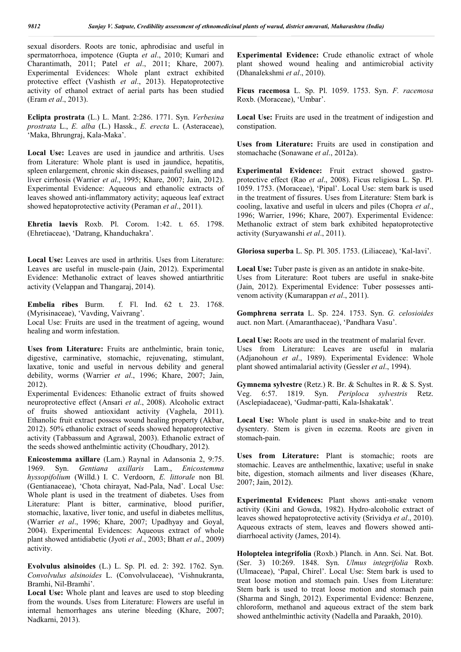sexual disorders. Roots are tonic, aphrodisiac and useful in spermatorrhoea, impotence (Gupta *et al*., 2010; Kumari and Charantimath, 2011; Patel *et al*., 2011; Khare, 2007). Experimental Evidences: Whole plant extract exhibited protective effect (Vashisth *et al*., 2013). Hepatoprotective activity of ethanol extract of aerial parts has been studied (Eram *et al*., 2013).

**Eclipta prostrata** (L.) L. Mant. 2:286. 1771. Syn. *Verbesina prostrata* L., *E. alba* (L.) Hassk., *E. erecta* L. (Asteraceae), 'Maka, Bhrungraj, Kala-Maka'.

**Local Use:** Leaves are used in jaundice and arthritis. Uses from Literature: Whole plant is used in jaundice, hepatitis, spleen enlargement, chronic skin diseases, painful swelling and liver cirrhosis (Warrier *et al*., 1995; Khare, 2007; Jain, 2012). Experimental Evidence: Aqueous and ethanolic extracts of leaves showed anti-inflammatory activity; aqueous leaf extract showed hepatoprotective activity (Peraman *et al*., 2011).

**Ehretia laevis** Roxb. Pl. Corom. 1:42. t. 65. 1798. (Ehretiaceae), 'Datrang, Khanduchakra'.

**Local Use:** Leaves are used in arthritis. Uses from Literature: Leaves are useful in muscle-pain (Jain, 2012). Experimental Evidence: Methanolic extract of leaves showed antiarthritic activity (Velappan and Thangaraj, 2014).

**Embelia ribes** Burm. f. Fl. Ind. 62 t. 23. 1768. (Myrisinaceae), 'Vavding, Vaivrang'.

Local Use: Fruits are used in the treatment of ageing, wound healing and worm infestation.

**Uses from Literature:** Fruits are anthelmintic, brain tonic, digestive, carminative, stomachic, rejuvenating, stimulant, laxative, tonic and useful in nervous debility and general debility, worms (Warrier *et al*., 1996; Khare, 2007; Jain, 2012).

Experimental Evidences: Ethanolic extract of fruits showed neuroprotective effect (Ansari *et al*., 2008). Alcoholic extract of fruits showed antioxidant activity (Vaghela, 2011). Ethanolic fruit extract possess wound healing property (Akbar, 2012). 50% ethanolic extract of seeds showed hepatoprotective activity (Tabbassum and Agrawal, 2003). Ethanolic extract of the seeds showed anthelmintic activity (Choudhary, 2012).

**Enicostemma axillare** (Lam.) Raynal in Adansonia 2, 9:75. 1969. Syn. *Gentiana axillaris* Lam., *Enicostemma hyssopifolium* (Willd.) I. C. Verdoorn, *E. littorale* non Bl. (Gentianaceae), 'Chota chirayat, Nad-Pala, Nad'. Local Use: Whole plant is used in the treatment of diabetes. Uses from Literature: Plant is bitter, carminative, blood purifier, stomachic, laxative, liver tonic, and useful in diabetes mellitus, (Warrier *et al*., 1996; Khare, 2007; Upadhyay and Goyal, 2004). Experimental Evidences: Aqueous extract of whole plant showed antidiabetic (Jyoti *et al*., 2003; Bhatt *et al*., 2009) activity.

**Evolvulus alsinoides** (L.) L. Sp. Pl. ed. 2: 392. 1762. Syn. *Convolvulus alsinoides* L. (Convolvulaceae), 'Vishnukranta, Bramhi, Nil-Bramhi'.

**Local Use:** Whole plant and leaves are used to stop bleeding from the wounds. Uses from Literature: Flowers are useful in internal hemorrhages ans uterine bleeding (Khare, 2007; Nadkarni, 2013).

**Experimental Evidence:** Crude ethanolic extract of whole plant showed wound healing and antimicrobial activity (Dhanalekshmi *et al*., 2010).

**Ficus racemosa** L. Sp. Pl. 1059. 1753. Syn. *F. racemosa*  Roxb. (Moraceae), 'Umbar'.

**Local Use:** Fruits are used in the treatment of indigestion and constipation.

**Uses from Literature:** Fruits are used in constipation and stomachache (Sonawane *et al*., 2012a).

**Experimental Evidence:** Fruit extract showed gastroprotective effect (Rao *et al*., 2008). Ficus religiosa L. Sp. Pl. 1059. 1753. (Moraceae), 'Pipal'. Local Use: stem bark is used in the treatment of fissures. Uses from Literature: Stem bark is cooling, laxative and useful in ulcers and piles (Chopra *et al*., 1996; Warrier, 1996; Khare, 2007). Experimental Evidence: Methanolic extract of stem bark exhibited hepatoprotective activity (Suryawanshi *et al*., 2011).

**Gloriosa superba** L. Sp. Pl. 305. 1753. (Liliaceae), 'Kal-lavi'.

**Local Use:** Tuber paste is given as an antidote in snake-bite. Uses from Literature: Root tubers are useful in snake-bite (Jain, 2012). Experimental Evidence: Tuber possesses antivenom activity (Kumarappan *et al*., 2011).

**Gomphrena serrata** L. Sp. 224. 1753. Syn. *G. celosioides*  auct. non Mart. (Amaranthaceae), 'Pandhara Vasu'.

**Local Use:** Roots are used in the treatment of malarial fever. Uses from Literature: Leaves are useful in malaria (Adjanohoun *et al*., 1989). Experimental Evidence: Whole plant showed antimalarial activity (Gessler *et al*., 1994).

**Gymnema sylvestre** (Retz.) R. Br. & Schultes in R. & S. Syst. Veg. 6:57. 1819. Syn. *Periploca sylvestris* Retz. (Asclepiadaceae), 'Gudmar-patti, Kala-Ishakatak'.

**Local Use:** Whole plant is used in snake-bite and to treat dysentery. Stem is given in eczema. Roots are given in stomach-pain.

**Uses from Literature:** Plant is stomachic; roots are stomachic. Leaves are anthelmenthic, laxative; useful in snake bite, digestion, stomach ailments and liver diseases (Khare, 2007; Jain, 2012).

**Experimental Evidences:** Plant shows anti-snake venom activity (Kini and Gowda, 1982). Hydro-alcoholic extract of leaves showed hepatoprotective activity (Srividya *et al*., 2010). Aqueous extracts of stem, leaves and flowers showed antidiarrhoeal activity (James, 2014).

**Holoptelea integrifolia** (Roxb.) Planch. in Ann. Sci. Nat. Bot. (Ser. 3) 10:269. 1848. Syn. *Ulmus integrifolia* Roxb. (Ulmaceae), 'Papal, Chirel'. Local Use: Stem bark is used to treat loose motion and stomach pain. Uses from Literature: Stem bark is used to treat loose motion and stomach pain (Sharma and Singh, 2012). Experimental Evidence: Benzene, chloroform, methanol and aqueous extract of the stem bark showed anthelminthic activity (Nadella and Paraakh, 2010).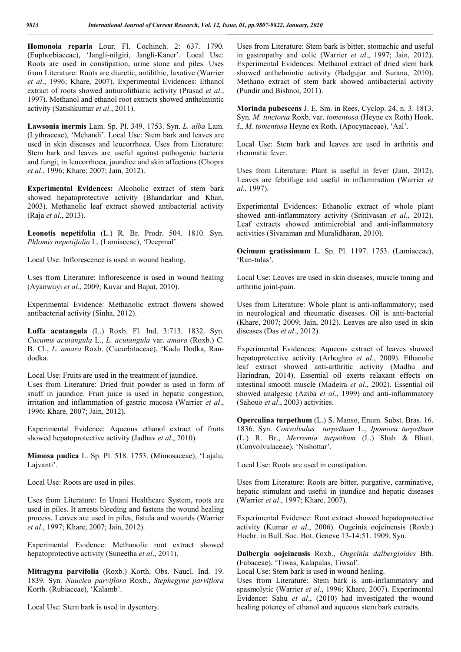**Homonoia reparia** Lour. Fl. Cochinch. 2: 637. 1790. (Euphorbiaceae), 'Jangli-nilgiri, Jangli-Kaner'. Local Use: Roots are used in constipation, urine stone and piles. Uses from Literature: Roots are diuretic, antilithic, laxative (Warrier *et al*., 1996; Khare, 2007). Experimental Evidences: Ethanol extract of roots showed antiurolithiatic activity (Prasad *et al*., 1997). Methanol and ethanol root extracts showed anthelmintic activity (Satishkumar *et al*., 2011).

**Lawsonia inermis** Lam. Sp. Pl. 349. 1753. Syn. *L. alba* Lam. (Lythraceae), 'Mehandi'. Local Use: Stem bark and leaves are used in skin diseases and leucorrhoea. Uses from Literature: Stem bark and leaves are useful against pathogenic bacteria and fungi; in leucorrhoea, jaundice and skin affections (Chopra *et al*., 1996; Khare; 2007; Jain, 2012).

**Experimental Evidences:** Alcoholic extract of stem bark showed hepatoprotective activity (Bhandarkar and Khan, 2003). Methanolic leaf extract showed antibacterial activity (Raja *et al*., 2013).

**Leonotis nepetifolia** (L.) R. Br. Prodr. 504. 1810. Syn. *Phlomis nepetiifolia* L. (Lamiaceae), 'Deepmal'.

Local Use: Inflorescence is used in wound healing.

Uses from Literature: Inflorescence is used in wound healing (Ayanwuyi *et al*., 2009; Kuvar and Bapat, 2010).

Experimental Evidence: Methanolic extract flowers showed antibacterial activity (Sinha, 2012).

**Luffa acutangula** (L.) Roxb. Fl. Ind. 3:713. 1832. Syn. *Cucumis acutangula* L., *L. acutangula* var. *amara* (Roxb.) C. B. Cl., *L. amara* Roxb. (Cucurbitaceae), 'Kadu Dodka, Randodka.

Local Use: Fruits are used in the treatment of jaundice.

Uses from Literature: Dried fruit powder is used in form of snuff in jaundice. Fruit juice is used in hepatic congestion, irritation and inflammation of gastric mucosa (Warrier *et al*., 1996; Khare, 2007; Jain, 2012).

Experimental Evidence: Aqueous ethanol extract of fruits showed hepatoprotective activity (Jadhav *et al*., 2010).

**Mimosa pudica** L. Sp. Pl. 518. 1753. (Mimosaceae), 'Lajalu, Lajvanti'.

Local Use: Roots are used in piles.

Uses from Literature: In Unani Healthcare System, roots are used in piles. It arrests bleeding and fastens the wound healing process. Leaves are used in piles, fistula and wounds (Warrier *et al*., 1997; Khare, 2007; Jain, 2012).

Experimental Evidence: Methanolic root extract showed hepatoprotective activity (Suneetha *et al*., 2011).

**Mitragyna parvifolia** (Roxb.) Korth. Obs. Naucl. Ind. 19. 1839. Syn. *Nauclea parviflora* Roxb., *Stephegyne parviflora*  Korth. (Rubiaceae), 'Kalamb'.

Local Use: Stem bark is used in dysentery.

Uses from Literature: Stem bark is bitter, stomachic and useful in gastropathy and colic (Warrier *et al*., 1997; Jain, 2012). Experimental Evidences: Methanol extract of dried stem bark showed anthelmintic activity (Badgujar and Surana, 2010). Methano extract of stem bark showed antibacterial activity (Pundir and Bishnoi, 2011).

**Morinda pubescens** J. E. Sm. in Rees, Cyclop. 24, n. 3. 1813. Syn. *M. tinctoria* Roxb. var. *tomentosa* (Heyne ex Roth) Hook. f., *M. tomentosa* Heyne ex Roth. (Apocynaceae), 'Aal'.

Local Use: Stem bark and leaves are used in arthritis and rheumatic fever.

Uses from Literature: Plant is useful in fever (Jain, 2012). Leaves are febrifuge and useful in inflammation (Warrier *et al*., 1997).

Experimental Evidences: Ethanolic extract of whole plant showed anti-inflammatory activity (Srinivasan *et al*., 2012). Leaf extracts showed antimicrobial and anti-inflammatory activities (Sivaraman and Muralidharan, 2010).

**Ocimum gratissimum** L. Sp. Pl. 1197. 1753. (Lamiaceae), 'Ran-tulas'.

Local Use: Leaves are used in skin diseases, muscle toning and arthritic joint-pain.

Uses from Literature: Whole plant is anti-inflammatory; used in neurological and rheumatic diseases. Oil is anti-bacterial (Khare, 2007; 2009; Jain, 2012). Leaves are also used in skin diseases (Das *et al*., 2012).

Experimental Evidences: Aqueous extract of leaves showed hepatoprotective activity (Arhoghro *et al*., 2009). Ethanolic leaf extract showed anti-arthritic activity (Madhu and Harindran, 2014). Essential oil exerts relaxant effects on intestinal smooth muscle (Madeira *et al*., 2002). Essential oil showed analgesic (Aziba *et al*., 1999) and anti-inflammatory (Sahouo *et al*., 2003) activities.

**Operculina turpethum** (L.) S. Manso, Enum. Subst. Bras. 16. 1836. Syn. *Convolvulus turpethum* L., *Ipomoea turpethum*  (L.) R. Br., *Merremia turpethum* (L.) Shah & Bhatt. (Convolvulaceae), 'Nishottar'.

Local Use: Roots are used in constipation.

Uses from Literature: Roots are bitter, purgative, carminative, hepatic stimulant and useful in jaundice and hepatic diseases (Warrier *et al*., 1997; Khare, 2007).

Experimental Evidence: Root extract showed hepatoprotective activity (Kumar *et al*., 2006). Ougeinia oojeinensis (Roxb.) Hochr. in Bull. Soc. Bot. Geneve 13-14:51. 1909. Syn.

**Dalbergia oojeinensis** Roxb., *Ougeinia dalbergioides* Bth. (Fabaceae), 'Tiwas, Kalapalas, Tiwsal'.

Local Use: Stem bark is used in wound healing.

Uses from Literature: Stem bark is anti-inflammatory and spasmolytic (Warrier *et al*., 1996; Khare, 2007). Experimental Evidence: Sahu *et al*., (2010) had investigated the wound healing potency of ethanol and aqueous stem bark extracts.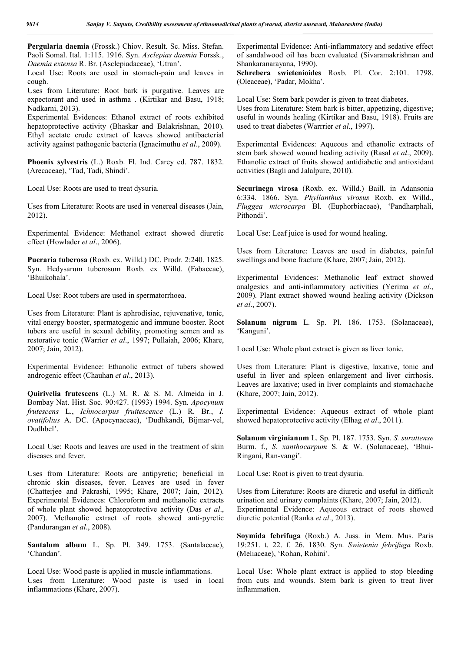**Pergularia daemia** (Frossk.) Chiov. Result. Sc. Miss. Stefan. Paoli Somal. Ital. 1:115. 1916. Syn. *Asclepias daemia* Forssk., *Daemia extensa* R. Br. (Asclepiadaceae), 'Utran'.

Local Use: Roots are used in stomach-pain and leaves in cough.

Uses from Literature: Root bark is purgative. Leaves are expectorant and used in asthma . (Kirtikar and Basu, 1918; Nadkarni, 2013).

Experimental Evidences: Ethanol extract of roots exhibited hepatoprotective activity (Bhaskar and Balakrishnan, 2010). Ethyl acetate crude extract of leaves showed antibacterial activity against pathogenic bacteria (Ignacimuthu *et al*., 2009).

**Phoenix sylvestris** (L.) Roxb. Fl. Ind. Carey ed. 787. 1832. (Arecaceae), 'Tad, Tadi, Shindi'.

Local Use: Roots are used to treat dysuria.

Uses from Literature: Roots are used in venereal diseases (Jain, 2012).

Experimental Evidence: Methanol extract showed diuretic effect (Howlader *et al*., 2006).

**Pueraria tuberosa** (Roxb. ex. Willd.) DC. Prodr. 2:240. 1825. Syn. Hedysarum tuberosum Roxb. ex Willd. (Fabaceae), 'Bhuikohala'.

Local Use: Root tubers are used in spermatorrhoea.

Uses from Literature: Plant is aphrodisiac, rejuvenative, tonic, vital energy booster, spermatogenic and immune booster. Root tubers are useful in sexual debility, promoting semen and as restorative tonic (Warrier *et al*., 1997; Pullaiah, 2006; Khare, 2007; Jain, 2012).

Experimental Evidence: Ethanolic extract of tubers showed androgenic effect (Chauhan *et al*., 2013).

**Quirivelia frutescens** (L.) M. R. & S. M. Almeida in J. Bombay Nat. Hist. Soc. 90:427. (1993) 1994. Syn. *Apocynum frutescens* L., *Ichnocarpus fruitescence* (L.) R. Br., *I. ovatifolius* A. DC. (Apocynaceae), 'Dudhkandi, Bijmar-vel, Dudhbel'.

Local Use: Roots and leaves are used in the treatment of skin diseases and fever.

Uses from Literature: Roots are antipyretic; beneficial in chronic skin diseases, fever. Leaves are used in fever (Chatterjee and Pakrashi, 1995; Khare, 2007; Jain, 2012). Experimental Evidences: Chloroform and methanolic extracts of whole plant showed hepatoprotective activity (Das *et al*., 2007). Methanolic extract of roots showed anti-pyretic (Pandurangan *et al*., 2008).

**Santalum album** L. Sp. Pl. 349. 1753. (Santalaceae), 'Chandan'.

Local Use: Wood paste is applied in muscle inflammations. Uses from Literature: Wood paste is used in local inflammations (Khare, 2007).

Experimental Evidence: Anti-inflammatory and sedative effect of sandalwood oil has been evaluated (Sivaramakrishnan and Shankaranarayana, 1990).

**Schrebera swietenioides** Roxb. Pl. Cor. 2:101. 1798. (Oleaceae), 'Padar, Mokha'.

Local Use: Stem bark powder is given to treat diabetes. Uses from Literature: Stem bark is bitter, appetizing, digestive; useful in wounds healing (Kirtikar and Basu, 1918). Fruits are used to treat diabetes (Warrrier *et al*., 1997).

Experimental Evidences: Aqueous and ethanolic extracts of stem bark showed wound healing activity (Rasal *et al*., 2009). Ethanolic extract of fruits showed antidiabetic and antioxidant activities (Bagli and Jalalpure, 2010).

**Securinega virosa** (Roxb. ex. Willd.) Baill. in Adansonia 6:334. 1866. Syn. *Phyllanthus virosus* Roxb. ex Willd., *Fluggea microcarpa* Bl. (Euphorbiaceae), 'Pandharphali, Pithondi'.

Local Use: Leaf juice is used for wound healing.

Uses from Literature: Leaves are used in diabetes, painful swellings and bone fracture (Khare, 2007; Jain, 2012).

Experimental Evidences: Methanolic leaf extract showed analgesics and anti-inflammatory activities (Yerima *et al*., 2009). Plant extract showed wound healing activity (Dickson *et al*., 2007).

**Solanum nigrum** L. Sp. Pl. 186. 1753. (Solanaceae), 'Kanguni'.

Local Use: Whole plant extract is given as liver tonic.

Uses from Literature: Plant is digestive, laxative, tonic and useful in liver and spleen enlargement and liver cirrhosis. Leaves are laxative; used in liver complaints and stomachache (Khare, 2007; Jain, 2012).

Experimental Evidence: Aqueous extract of whole plant showed hepatoprotective activity (Elhag *et al*., 2011).

**Solanum virginianum** L. Sp. Pl. 187. 1753. Syn. *S. surattense*  Burm. f., *S. xanthocarpum* S. & W. (Solanaceae), 'Bhui-Ringani, Ran-vangi'.

Local Use: Root is given to treat dysuria.

Uses from Literature: Roots are diuretic and useful in difficult urination and urinary complaints (Khare, 2007; Jain, 2012). Experimental Evidence: Aqueous extract of roots showed diuretic potential (Ranka *et al*., 2013).

**Soymida febrifuga** (Roxb.) A. Juss. in Mem. Mus. Paris 19:251. t. 22. f. 26. 1830. Syn. *Swietenia febrifuga* Roxb. (Meliaceae), 'Rohan, Rohini'.

Local Use: Whole plant extract is applied to stop bleeding from cuts and wounds. Stem bark is given to treat liver inflammation.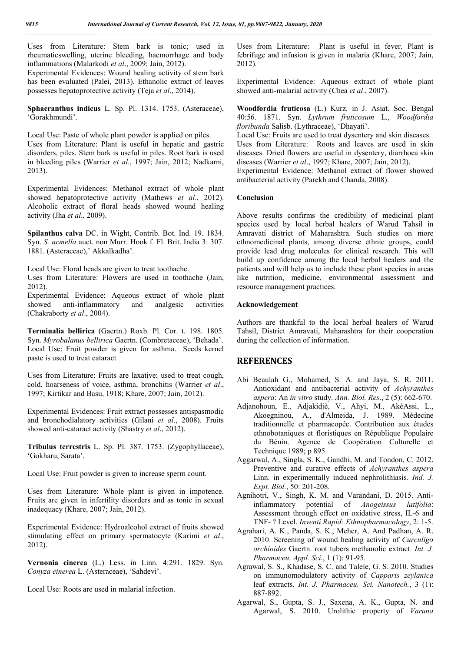Uses from Literature: Stem bark is tonic; used in rheumaticswelling, uterine bleeding, haemorrhage and body inflammations (Malarkodi *et al*., 2009; Jain, 2012).

Experimental Evidences: Wound healing activity of stem bark has been evaluated (Palei, 2013). Ethanolic extract of leaves possesses hepatoprotective activity (Teja *et al*., 2014).

**Sphaeranthus indicus** L. Sp. Pl. 1314. 1753. (Asteraceae), 'Gorakhmundi'.

Local Use: Paste of whole plant powder is applied on piles. Uses from Literature: Plant is useful in hepatic and gastric disorders, piles. Stem bark is useful in piles. Root bark is used in bleeding piles (Warrier *et al*., 1997; Jain, 2012; Nadkarni, 2013).

Experimental Evidences: Methanol extract of whole plant showed hepatoprotective activity (Mathews *et al*., 2012). Alcoholic extract of floral heads showed wound healing activity (Jha *et al*., 2009).

**Spilanthus calva** DC. in Wight, Contrib. Bot. Ind. 19. 1834. Syn. *S. acmella* auct. non Murr. Hook f. Fl. Brit. India 3: 307. 1881. (Asteraceae),' Akkalkadha'.

Local Use: Floral heads are given to treat toothache.

Uses from Literature: Flowers are used in toothache (Jain, 2012).

Experimental Evidence: Aqueous extract of whole plant showed anti-inflammatory and analgesic activities (Chakraborty *et al*., 2004).

**Terminalia bellirica** (Gaertn.) Roxb. Pl. Cor. t. 198. 1805. Syn. *Myrobalanus bellirica* Gaertn. (Combretaceae), 'Behada'. Local Use: Fruit powder is given for asthma. Seeds kernel paste is used to treat cataract

Uses from Literature: Fruits are laxative; used to treat cough, cold, hoarseness of voice, asthma, bronchitis (Warrier *et al*., 1997; Kirtikar and Basu, 1918; Khare, 2007; Jain, 2012).

Experimental Evidences: Fruit extract possesses antispasmodic and bronchodialatory activities (Gilani *et al*., 2008). Fruits showed anti-cataract activity (Shastry *et al*., 2012).

**Tribulus terrestris** L. Sp. Pl. 387. 1753. (Zygophyllaceae), 'Gokharu, Sarata'.

Local Use: Fruit powder is given to increase sperm count.

Uses from Literature: Whole plant is given in impotence. Fruits are given in infertility disorders and as tonic in sexual inadequacy (Khare, 2007; Jain, 2012).

Experimental Evidence: Hydroalcohol extract of fruits showed stimulating effect on primary spermatocyte (Karimi *et al*., 2012).

**Vernonia cinerea** (L.) Less. in Linn. 4:291. 1829. Syn. *Conyza cinerea* L. (Asteraceae), 'Sahdevi'.

Local Use: Roots are used in malarial infection.

Uses from Literature: Plant is useful in fever. Plant is febrifuge and infusion is given in malaria (Khare, 2007; Jain, 2012).

Experimental Evidence: Aqueous extract of whole plant showed anti-malarial activity (Chea *et al*., 2007).

**Woodfordia fruticosa** (L.) Kurz. in J. Asiat. Soc. Bengal 40:56. 1871. Syn. *Lythrum fruticosum* L., *Woodfordia floribunda* Salisb. (Lythraceae), 'Dhayati'.

Local Use: Fruits are used to treat dysentery and skin diseases. Uses from Literature: Roots and leaves are used in skin diseases. Dried flowers are useful in dysentery, diarrhoea skin diseases (Warrier *et al*., 1997; Khare, 2007; Jain, 2012).

Experimental Evidence: Methanol extract of flower showed antibacterial activity (Parekh and Chanda, 2008).

#### **Conclusion**

Above results confirms the credibility of medicinal plant species used by local herbal healers of Warud Tahsil in Amravati district of Maharashtra. Such studies on more ethnomedicinal plants, among diverse ethnic groups, could provide lead drug molecules for clinical research. This will build up confidence among the local herbal healers and the patients and will help us to include these plant species in areas like nutrition, medicine, environmental assessment and resource management practices.

### **Acknowledgement**

Authors are thankful to the local herbal healers of Warud Tahsil, District Amravati, Maharashtra for their cooperation during the collection of information.

## **REFERENCES**

- Abi Beaulah G., Mohamed, S. A. and Jaya, S. R. 2011. Antioxidant and antibacterial activity of *Achyranthes aspera*: An *in vitro* study. *Ann. Biol. Res*., 2 (5): 662-670.
- Adjanohoun, E., Adjakidjè, V., Ahyi, M., AkéAssi, L., Akoegninou, A., d'Almeida, J. 1989. Médecine traditionnelle et pharmacopée. Contribution aux études ethnobotaniques et floristiques en République Populaire du Bénin. Agence de Coopération Culturelle et Technique 1989; p 895.
- Aggarwal, A., Singla, S. K., Gandhi, M. and Tondon, C. 2012. Preventive and curative effects of *Achyranthes aspera*  Linn. in experimentally induced nephrolithiasis. *Ind. J. Expt. Biol.*, 50: 201-208.
- Agnihotri, V., Singh, K. M. and Varandani, D. 2015. Antiinflammatory potential of *Anogeissus latifolia*: Assessment through effect on oxidative stress, IL-6 and TNF- ? Level. *Inventi Rapid: Ethnopharmacology*, 2: 1-5.
- Agrahari, A. K., Panda, S. K., Meher, A. And Padhan, A. R. 2010. Screening of wound healing activity of *Curculigo orchioides* Gaertn. root tubers methanolic extract. *Int. J. Pharmaceu. Appl. Sci.*, 1 (1): 91-95.
- Agrawal, S. S., Khadase, S. C. and Talele, G. S. 2010. Studies on immunomodulatory activity of *Capparis zeylanica*  leaf extracts. *Int. J. Pharmaceu. Sci. Nanotech.*, 3 (1): 887-892.
- Agarwal, S., Gupta, S. J., Saxena, A. K., Gupta, N. and Agarwal, S. 2010. Urolithic property of *Varuna*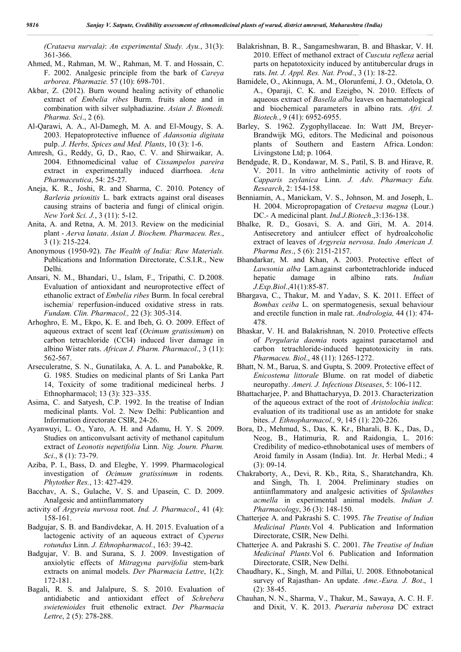*(Crataeva nurvala)*: *An experimental Study. Ayu.*, 31(3): 361-366.

- Ahmed, M., Rahman, M. W., Rahman, M. T. and Hossain, C. F. 2002. Analgesic principle from the bark of *Careya arborea*. *Pharmazie.* 57 (10): 698-701.
- Akbar, Z. (2012). Burn wound healing activity of ethanolic extract of *Embelia ribes* Burm. fruits alone and in combination with silver sulphadiazine. *Asian J. Biomedi. Pharma. Sci*., 2 (6).
- Al-Qarawi, A. A., Al-Damegh, M. A. and El-Mougy, S. A. 2003. Hepatoprotective influence of *Adansonia digitata*  pulp. *J. Herbs, Spices and Med. Plants*, 10 (3): 1-6.
- Amresh, G., Reddy, G, D., Rao, C. V. and Shirwaikar, A. 2004. Ethnomedicinal value of *Cissampelos pareira*  extract in experimentally induced diarrhoea. *Acta Pharmaceutica*, 54: 25-27.
- Aneja, K. R., Joshi, R. and Sharma, C. 2010. Potency of *Barleria prionitis* L. bark extracts against oral diseases causing strains of bacteria and fungi of clinical origin. *New York Sci. J.*, 3 (11): 5-12.
- Anita, A. and Retna, A. M. 2013. Review on the medicinial plant - *Aerva lanata*. *Asian J. Biochem. Pharmaceu. Res*., 3 (1): 215-224.
- Anonymous (1950-92). *The Wealth of India: Raw Materials.*  Publications and Information Directorate, C.S.I.R., New Delhi.
- Ansari, N. M., Bhandari, U., Islam, F., Tripathi, C. D.2008. Evaluation of antioxidant and neuroprotective effect of ethanolic extract of *Embelia ribes* Burm. In focal cerebral ischemia/ reperfusion-induced oxidative stress in rats. *Fundam. Clin. Pharmacol.,* 22 (3): 305-314.
- Arhoghro, E. M., Ekpo, K. E. and Ibeh, G. O. 2009. Effect of aqueous extract of scent leaf (*Ocimum gratissimum*) on carbon tetrachloride (CCl4) induced liver damage in albino Wister rats. *African J. Pharm. Pharmacol*., 3 (11): 562-567.
- Arseculeratne, S. N., Gunatilaka, A. A. L. and Panabokke, R. G. 1985. Studies on medicinal plants of Sri Lanka Part 14, Toxicity of some traditional medicineal herbs. J Ethnopharmacol; 13 (3): 323–335.
- Asima, C. and Satyesh, C.P. 1992. In the treatise of Indian medicinal plants. Vol. 2. New Delhi: Publicantion and Information directorate CSIR, 24-26.
- Ayanwuyi, L. O., Yaro, A. H. and Adamu, H. Y. S*.* 2009. Studies on anticonvulsant activity of methanol capitulum extract of *Leonotis nepetifolia* Linn. *Nig. Journ. Pharm. Sci*., 8 (1): 73-79.
- Aziba, P. I., Bass, D. and Elegbe, Y. 1999. Pharmacological investigation of *Ocimum gratissimum* in rodents*. Phytother Res.*, 13: 427-429.
- Bacchav, A. S., Gulache, V. S. and Upasein, C. D. 2009. Analgesic and antiinflammatory
- activity of *Argyreia nurvosa* root. *Ind. J. Pharmacol*., 41 (4): 158-161.
- Badgujar, S. B. and Bandivdekar, A. H. 2015. Evaluation of a lactogenic activity of an aqueous extract of *Cyperus rotundus* Linn. *J. Ethnopharmacol.*, 163: 39-42.
- Badgujar, V. B. and Surana, S. J. 2009. Investigation of anxiolytic effects of *Mitragyna parvifolia* stem-bark extracts on animal models. *Der Pharmacia Lettre*, 1(2): 172-181.
- Bagali, R. S. and Jalalpure, S. S. 2010. Evaluation of antidiabetic and antioxidant effect of *Schrebera swietenioides* fruit ethenolic extract. *Der Pharmacia Lettre*, 2 (5): 278-288.
- Balakrishnan, B. R., Sangameshwaran, B. and Bhaskar, V. H. 2010. Effect of methanol extract of *Cuscuta reflexa* aerial parts on hepatotoxicity induced by antitubercular drugs in rats. *Int. J. Appl. Res. Nat. Prod*., 3 (1): 18-22.
- Bamidele, O., Akinnuga, A. M., Olorunfemi, J. O., Odetola, O. A., Oparaji, C. K. and Ezeigbo, N. 2010. Effects of aqueous extract of *Basella alba* leaves on haematological and biochemical parameters in albino rats. *Afri. J. Biotech.*, 9 (41): 6952-6955.
- Barley, S. 1962. Zygophyllaceae. In: Watt JM, Breyer-Brandwijk MG, editors. The Medicinal and poisonous plants of Southern and Eastern Africa. London: Livingstone Ltd; p. 1064.
- Bendgude, R. D., Kondawar, M. S., Patil, S. B. and Hirave, R. V. 2011. In vitro anthelmintic activity of roots of *Capparis zeylanica* Linn. *J. Adv. Pharmacy Edu. Research*, 2: 154-158.
- Benniamin, A., Manickam, V. S., Johnson, M. and Joseph, L. H. 2004. Micropropagation of *Cretaeva magna* (Lour.) DC.- A medicinal plant. *Ind.J.Biotech*.,3:136-138.
- Bhalke, R. D., Gosavi, S. A. and Giri, M. A. 2014. Antisecretory and antiulcer effect of hydroalcoholic extract of leaves of *Argyreia nervosa*. *Indo American J. Pharma Res*., 5 (6): 2151-2157.
- Bhandarkar, M. and Khan, A. 2003. Protective effect of *Lawsonia alba* Lam.against carbontetrachloride induced hepatic damage in albino rats. *Indian J.Exp.Biol*.,41(1):85-87.
- Bhargava, C., Thakur, M. and Yadav, S. K. 2011. Effect of *Bombax ceiba* L. on spermatogenesis, sexual behaviour and erectile function in male rat. *Andrologia,* 44 (1): 474- 478.
- Bhaskar, V. H. and Balakrishnan, N. 2010. Protective effects of *Pergularia daemia* roots against paracetamol and carbon tetrachloride-induced hepatotoxicity in rats. *Pharmaceu. Biol*., 48 (11): 1265-1272.
- Bhatt, N. M., Barua, S. and Gupta, S. 2009. Protective effect of *Enicostema littorale* Blume. on rat model of diabetic neuropathy. *Ameri. J. Infectious Diseases*, 5: 106-112.
- Bhattacharjee, P. and Bhattacharyya, D. 2013. Characterization of the aqueous extract of the root of *Aristolochia indica*: evaluation of its traditional use as an antidote for snake bites. *J. Ethnopharmacol.,* 9, 145 (1): 220-226.
- Bora, D., Mehmud, S., Das, K. Kr., Bharali, B. K., Das, D., Neog, B., Hatimuria, R. and Raidongia, L. 2016: Credibility of medico-ethnobotanical uses of members of Aroid family in Assam (India). Int. Jr. Herbal Medi.; 4 (3): 09-14.
- Chakraborty, A., Devi, R. Kb., Rita, S., Sharatchandra, Kh. and Singh, Th. I. 2004. Preliminary studies on antiinflammatory and analgesic activities of *Spilanthes acmella* in experimental animal models. *Indian J. Pharmacology*, 36 (3): 148-150.
- Chatterjee A. and Pakrashi S. C. 1995. *The Treatise of Indian Medicinal Plants.*Vol 4. Publication and Information Directorate, CSIR, New Delhi.
- Chatterjee A. and Pakrashi S. C. 2001. *The Treatise of Indian Medicinal Plants.*Vol 6. Publication and Information Directorate, CSIR, New Delhi.
- Chaudhary, K., Singh, M. and Pillai, U. 2008. Ethnobotanical survey of Rajasthan- An update. *Ame.-Eura. J. Bot*., 1 (2): 38-45.
- Chauhan, N. N., Sharma, V., Thakur, M., Sawaya, A. C. H. F. and Dixit, V. K. 2013. *Pueraria tuberosa* DC extract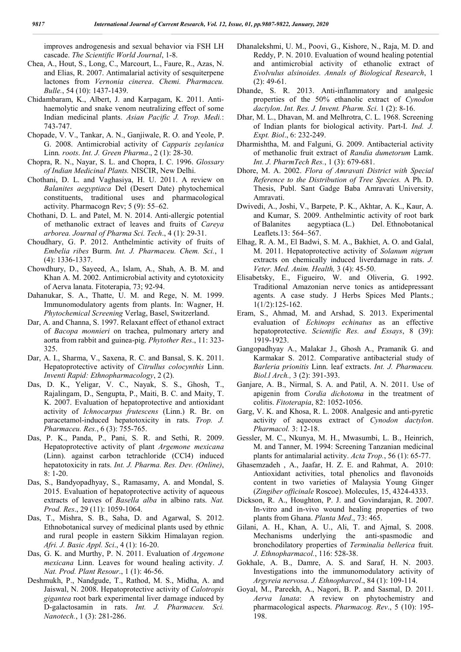improves androgenesis and sexual behavior via FSH LH cascade. *The Scientific World Journal*, 1-8.

- Chea, A., Hout, S., Long, C., Marcourt, L., Faure, R., Azas, N. and Elias, R. 2007. Antimalarial activity of sesquiterpene lactones from *Vernonia cinerea*. *Chemi. Pharmaceu. Bulle.*, 54 (10): 1437-1439.
- Chidambaram, K., Albert, J. and Karpagam, K. 2011. Antihaemolytic and snake venom neutralizing effect of some Indian medicinal plants. *Asian Pacific J. Trop. Medi.*: 743-747.
- Chopade, V. V., Tankar, A. N., Ganjiwale, R. O. and Yeole, P. G. 2008. Antimicrobial activity of *Capparis zeylanica*  Linn*. roots*. *Int. J. Green Pharma*., 2 (1): 28-30.
- Chopra, R. N., Nayar, S. L. and Chopra, I. C. 1996. *Glossary of Indian Medicinal Plants.* NISCIR, New Delhi.
- Chothani, D. L. and Vaghasiya, H. U. 2011. A review on *Balanites aegyptiaca* Del (Desert Date) phytochemical constituents, traditional uses and pharmacological activity. Pharmacogn Rev; 5 (9): 55–62.
- Chothani, D. L. and Patel, M. N. 2014. Anti-allergic potential of methanolic extract of leaves and fruits of *Careya arborea. Journal of Pharma Sci. Tech*., 4 (1): 29-31.
- Choudhary, G. P. 2012. Anthelmintic activity of fruits of *Embelia ribes* Burm. *Int. J. Pharmaceu. Chem. Sci.*, 1 (4): 1336-1337.
- Chowdhury, D., Sayeed, A., Islam, A., Shah, A. B. M. and Khan A. M. 2002. Antimicrobial activity and cytotoxicity of Aerva lanata. Fitoterapia, 73; 92-94.
- Dahanukar, S. A., Thatte, U. M. and Rege, N. M. 1999. Immunomodulatory agents from plants. In: Wagner, H. *Phytochemical Screening* Verlag, Basel, Switzerland.
- Dar, A. and Channa, S. 1997. Relaxant effect of ethanol extract of *Bacopa monnieri* on trachea, pulmonary artery and aorta from rabbit and guinea-pig. *Phytother Res*., 11: 323- 325.
- Dar, A. I., Sharma, V., Saxena, R. C. and Bansal, S. K. 2011. Hepatoprotective activity of *Citrullus colocynthis* Linn. *Inventi Rapid: Ethnopharmacology*, 2 (2).
- Das, D. K., Yeligar, V. C., Nayak, S. S., Ghosh, T., Rajalingam, D., Sengupta, P., Maiti, B. C. and Maity, T. K. 2007. Evaluation of hepatoprotective and antioxidant activity of *Ichnocarpus frutescens* (Linn.) R. Br. on paracetamol-induced hepatotoxicity in rats. *Trop. J. Pharmaceu. Res.*, 6 (3): 755-765.
- Das, P. K., Panda, P., Pani, S. R. and Sethi, R. 2009. Hepatoprotective activity of plant *Argemone mexicana*  (Linn). against carbon tetrachloride (CCl4) induced hepatotoxicity in rats. *Int. J. Pharma. Res. Dev. (Online)*, 8: 1-20.
- Das, S., Bandyopadhyay, S., Ramasamy, A. and Mondal, S. 2015. Evaluation of hepatoprotective activity of aqueous extracts of leaves of *Basella alba* in albino rats. *Nat. Prod. Res*., 29 (11): 1059-1064.
- Das, T., Mishra, S. B., Saha, D. and Agarwal, S. 2012. Ethnobotanical survey of medicinal plants used by ethnic and rural people in eastern Sikkim Himalayan region. *Afri. J. Basic Appl. Sci*., 4 (1): 16-20.
- Das, G. K. and Murthy, P. N. 2011. Evaluation of *Argemone mexicana* Linn. Leaves for wound healing activity. *J. Nat. Prod. Plant Resour*., 1 (1): 46-56.
- Deshmukh, P., Nandgude, T., Rathod, M. S., Midha, A. and Jaiswal, N. 2008. Hepatoprotective activity of *Calotropis gigantea* root bark experimental liver damage induced by D-galactosamin in rats. *Int. J. Pharmaceu. Sci. Nanotech.*, 1 (3): 281-286.
- Dhanalekshmi, U. M., Poovi, G., Kishore, N., Raja, M. D. and Reddy, P. N. 2010. Evaluation of wound healing potential and antimicrobial activity of ethanolic extract of *Evolvulus alsinoides. Annals of Biological Research*, 1  $(2): 49-61.$
- Dhande, S. R. 2013. Anti-inflammatory and analgesic properties of the 50% ethanolic extract of *Cynodon dactylon*. *Int. Res. J. Invent. Pharm. Sci.* 1 (2): 8-16.
- Dhar, M. L., Dhavan, M. and Melhrotra, C. L. 1968. Screening of Indian plants for biological activity. Part-I. *Ind. J. Expt. Biol*., 6: 232-249.
- Dharmishtha, M. and Falguni, G. 2009. Antibacterial activity of methanolic fruit extract of *Randia dumetorum* Lamk. *Int. J. PharmTech Res.*, 1 (3): 679-681.
- Dhore, M. A. 2002. *Flora of Amravati District with Special Reference to the Distribution of Tree Species.* A Ph. D. Thesis, Publ. Sant Gadge Baba Amravati University, Amravati.
- Dwivedi, A., Joshi, V., Barpete, P. K., Akhtar, A. K., Kaur, A. and Kumar, S. 2009. Anthelmintic activity of root bark of Balanites aegyptiaca (L.) Del. Ethnobotanical Leaflets.13: 564–567.
- Elhag, R. A. M., El Badwi, S. M. A., Bakhiet, A. O. and Galal, M. 2011. Hepatoprotective activity of *Solanum nigrum*  extracts on chemically induced liverdamage in rats. *J. Veter. Med. Anim. Health,* 3 (4): 45-50.
- Elisabetsky, E., Figueiro, W. and Oliveria, G. 1992. Traditional Amazonian nerve tonics as antidepressant agents. A case study. J Herbs Spices Med Plants.; 1(1/2):125-162.
- Eram, S., Ahmad, M. and Arshad, S. 2013. Experimental evaluation of *Echinops echinatus* as an effective hepatoprotective. *Scientific Res. and Essays*, 8 (39): 1919-1923.
- Gangopadhyay A., Malakar J., Ghosh A., Pramanik G. and Karmakar S. 2012. Comparative antibacterial study of *Barleria prionitis* Linn. leaf extracts. *Int. J. Pharmaceu. Biol.l Arch.,* 3 (2): 391-393.
- Ganjare, A. B., Nirmal, S. A. and Patil, A. N. 2011. Use of apigenin from *Cordia dichotoma* in the treatment of colitis. *Fitoterapia*, 82: 1052-1056.
- Garg, V. K. and Khosa, R. L. 2008. Analgesic and anti-pyretic activity of aqueous extract of *Cynodon dactylon*. *Pharmacol.* 3: 12-18.
- Gessler, M. C., Nkunya, M. H., Mwasumbi, L. B., Heinrich, M. and Tanner, M. 1994: Screening Tanzanian medicinal plants for antimalarial activity. *Acta Trop.*, 56 (1): 65-77.
- Ghasemzadeh , A., Jaafar, H. Z. E. and Rahmat, A. 2010: Antioxidant activities, total phenolics and flavonoids content in two varieties of Malaysia Young Ginger (*Zingiber officinale* Roscoe). Molecules, 15, 4324-4333.
- Dickson, R. A., Houghton, P. J. and Govindarajan, R. 2007. In-vitro and in-vivo wound healing properties of two plants from Ghana. *Planta Med*., 73: 465.
- Gilani, A. H., Khan, A. U., Ali, T. and Ajmal, S. 2008. Mechanisms underlying the anti-spasmodic and bronchodilatory properties of *Terminalia bellerica* fruit. *J. Ethnopharmacol.*, 116: 528-38.
- Gokhale, A. B., Damre, A. S. and Saraf, H. N. 2003. Investigations into the immunomodulatory activity of *Argyreia nervosa*. *J. Ethnopharcol*., 84 (1): 109-114.
- Goyal, M., Pareekh, A., Nagori, B. P. and Sasmal, D. 2011. *Aerva lanata*: A review on phytochemistry and pharmacological aspects. *Pharmacog. Rev*., 5 (10): 195- 198.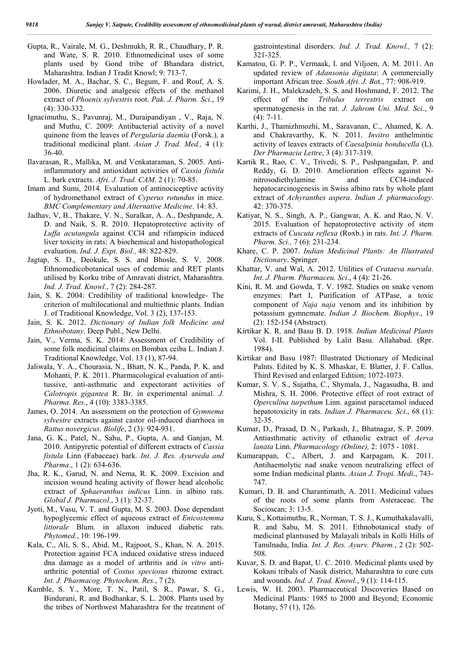- Gupta, R., Vairale, M. G., Deshmukh, R. R., Chaudhary, P. R. and Wate, S. R. 2010. Ethnomedicinal uses of some plants used by Gond tribe of Bhandara district, Maharashtra. Indian J Tradit Knowl; 9: 713-7.
- Howlader, M. A., Bachar, S. C., Begum, F. and Rouf, A. S. 2006. Diuretic and analgesic effects of the methanol extract of *Phoenix sylvestris* root. *Pak. J. Pharm. Sci*., 19 (4): 330-332.
- Ignacimuthu, S., Pavunraj, M., Duraipandiyan , V., Raja, N. and Muthu, C. 2009: Antibacterial activity of a novel quinone from the leaves of *Pergularia daemia* (Forsk.), a traditional medicinal plant. *Asian J. Trad. Med.,* 4 (1): 36-40.
- Ilavarasan, R., Mallika, M. and Venkataraman, S. 2005. Antiinflammatory and antioxidant activities of *Cassia fistula*  L. bark extracts. *Afri. J. Trad. CAM*. 2 (1): 70-85.
- Imam and Sumi, 2014. Evaluation of antinociceptive activity of hydromethanol extract of *Cyperus rotundus* in mice. *BMC Complementary and Alternative Medicine*. 14: 83.
- Jadhav, V, B., Thakare, V. N., Suralkar, A. A., Deshpande, A. D. and Naik, S. R. 2010. Hepatoprotective activity of *Luffa acutangula* against CCl4 and rifampicin induced liver toxicity in rats: A biochemical and histopathological evaluation. *Ind. J. Expt. Biol.,* 48: 822-829.
- Jagtap, S. D., Deokule, S. S. and Bhosle, S. V. 2008. Ethnomedicobotanical uses of endemic and RET plants utilised by Korku tribe of Amravati district, Maharashtra. *Ind. J. Trad. Knowl.*, 7 (2): 284-287.
- Jain, S. K. 2004: Credibility of traditional knowledge- The criterion of multilocational and multiethnic plants. Indian J. of Traditional Knowledge, Vol. 3 (2), 137-153.
- Jain, S. K. 2012. *Dictionary of Indian folk Medicine and Ethnobotany*. Deep Publ., New Delhi.
- Jain, V., Verma, S. K. 2014: Assessment of Credibility of some folk medicinal claims on Bombax ceiba L. Indian J. Traditional Knowledge, Vol. 13 (1), 87-94.
- Jaliwala, Y. A., Chourasia, N., Bhatt, N. K., Panda, P. K. and Mohanti, P. K. 2011. Pharmacological evaluation of antitussive, anti-asthmatic and expectorant activities of *Calotropis gigantea* R. Br. in experimental animal. *J. Pharma. Res*., 4 (10): 3383-3385.
- James, O. 2014. An assessment on the protection of *Gymnema sylvestre* extracts against castor oil-induced diarrhoea in *Rattus novergicus*. *Biolife*, 2 (3): 924-931.
- Jana, G. K., Patel, N., Sahu, P., Gupta, A. and Ganjan, M. 2010. Antipyretic potential of different extracts of *Cassia fistula* Linn (Fabaceae) bark. *Int. J. Res. Ayurveda and Pharma*., 1 (2): 634-636.
- Jha, R. K., Garud, N. and Nema, R. K. 2009. Excision and incision wound healing activity of flower head alcoholic extract of *Sphaeranthus indicus* Linn. in albino rats. *Global J. Pharmacol*., 3 (1): 32-37.
- Jyoti, M., Vasu, V. T. and Gupta, M. S. 2003. Dose dependant hypoglycemic effect of aqueous extract of *Enicostemma littorale* Blum. in allaxon induced diabetic rats. *Phytomed.*, 10: 196-199.
- Kala, C., Ali, S. S., Abid, M., Rajpoot, S., Khan, N. A. 2015. Protection against FCA induced oxidative stress induced dna damage as a model of arthritis and *in vitro* antiarthritic potential of *Costus speciosus* rhizome extract. *Int. J. Pharmacog. Phytochem. Res.*, 7 (2).
- Kamble, S. Y., More, T. N., Patil, S. R., Pawar, S. G., Bindurani, R. and Bodhankar, S. L. 2008. Plants used by the tribes of Northwest Maharashtra for the treatment of

gastrointestinal disorders. *Ind. J. Trad. Knowl.,* 7 (2): 321-325.

- Kamatou, G. P. P., Vermaak, I. and Viljoen, A. M. 2011. An updated review of *Adansonia digitata*: A commercially important African tree. *South Afri. J. Bo*t., 77: 908-919.
- Karimi, J. H., Malekzadeh, S. S. and Hoshmand, F. 2012. The effect of the *Tribulus terrestris* extract on spermatogenesis in the rat. *J. Jahrom Uni. Med. Sci*., 9  $(4)$ : 7-11.
- Karthi, J., Thamizhmozhi, M., Saravanan, C., Ahamed, K. A. and Chakravarthy, K. N. 2011. *Invitro* anthelmintic activity of leaves extracts of *Caesalpinia bonducella* (L). *Der Pharmacia Lettre*, 3 (4): 317-319.
- Kartik R., Rao, C. V., Trivedi, S. P., Pushpangadan, P. and Reddy, G. D. 2010. Amelioration effects against Nnitrosodiethylamine and CCl4-induced hepatocarcinogenesis in Swiss albino rats by whole plant extract of *Achyranthes aspera*. *Indian J. pharmacology*. 42: 370-375.
- Katiyar, N. S., Singh, A. P., Gangwar, A. K. and Rao, N. V. 2015. Evaluation of hepatoprotective activity of stem extracts of *Cuscuta reflexa* (Roxb.) in rats. *Int. J. Pharm. Pharm. Sci.,* 7 (6): 231-234.
- Khare, C. P. 2007. *Indian Medicinal Plants: An Illustrated Dictionary*. Springer.
- Khattar, V. and Wal, A. 2012. Utilities of *Crataeva nurvala*. *Int. J. Pharm. Pharmaceu. Sci*., 4 (4): 21-26.
- Kini, R. M. and Gowda, T. V. 1982. Studies on snake venom enzymes: Part I, Purification of ATPase, a toxic component of *Naja naja* venom and its inhibition by potassium gymnemate. *Indian J. Biochem. Biophys*., 19 (2): 152-154 (Abstract).
- Kirtikar K. R. and Basu B. D. 1918*. Indian Medicinal Plants*  Vol. I-II. Published by Lalit Basu. Allahabad. (Rpr. 1984).
- Kirtikar and Basu 1987: Illustrated Dictionary of Medicinal Palnts. Edited by K. S. Mhaskar, E. Blatter, J. F. Callus. Third Revised and enlarged Edition; 1072-1073.
- Kumar, S. V. S., Sujatha, C., Shymala, J., Nagasudha, B. and Mishra, S. H. 2006. Protective effect of root extract of *Operculina turpethum* Linn. against paracetamol induced hepatotoxicity in rats. *Indian J. Pharmaceu. Sci*., 68 (1): 32-35.
- Kumar, D., Prasad, D. N., Parkash, J., Bhatnagar, S. P. 2009. Antiasthmatic activity of ethanolic extract of *Aerva lanata* Linn. *Pharmacology (Online),* 2: 1075 - 1081.
- Kumarappan, C., Albert, J. and Karpagam, K. 2011. Antihaemolytic nad snake venom neutralizing effect of some Indian medicinal plants. *Asian J. Tropi. Medi*., 743- 747.
- Kumari, D. B. and Charantimath, A. 2011. Medicinal values of the roots of some plants from Asteraceae. The Socioscan; 3: 13-5.
- Kuru, S., Kottaimuthu, R., Norman, T. S. J., Kumuthakalavalli, R. and Sabu, M. S. 2011. Ethnobotanical study of medicinal plantsused by Malayali tribals in Kolli Hills of Tamilnadu, India. *Int. J. Res. Ayurv. Pharm.*, 2 (2): 502- 508.
- Kuvar, S. D. and Bapat, U. C. 2010. Medicinal plants used by Kokani tribals of Nasik district, Maharashtra to cure cuts and wounds. *Ind. J. Trad. Knowl.*, 9 (1): 114-115.
- Lewis, W. H. 2003. Pharmaceutical Discoveries Based on Medicinal Plants: 1985 to 2000 and Beyond; Economic Botany, 57 (1), 126.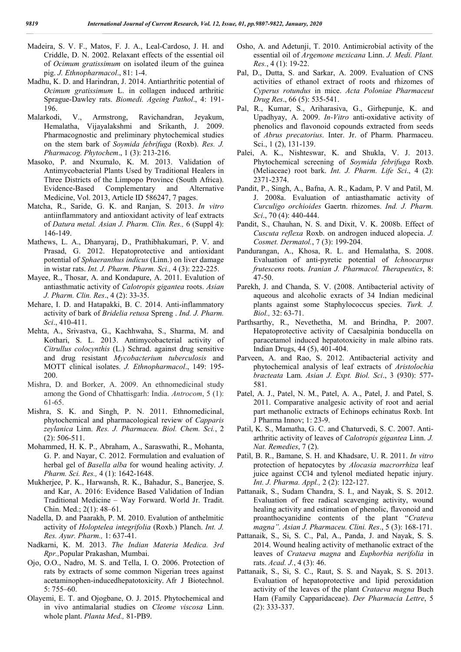- Madeira, S. V. F., Matos, F. J. A., Leal-Cardoso, J. H. and Criddle, D. N. 2002. Relaxant effects of the essential oil of *Ocimum gratissimum* on isolated ileum of the guinea pig. *J. Ethnopharmacol*., 81: 1-4.
- Madhu, K. D. and Harindran, J. 2014. Antiarthritic potential of *Ocimum gratissimum* L. in collagen induced arthritic Sprague-Dawley rats. *Biomedi. Ageing Pathol*., 4: 191- 196.
- Malarkodi, V., Armstrong, Ravichandran, Jeyakum, Hemalatha, Vijayalakshmi and Srikanth, J. 2009. Pharmacognostic and preliminary phytochemical studies on the stem bark of *Soymida febrifuga* (Roxb). *Res. J. Pharmacog. Phytochem*., 1 (3): 213-216.
- Masoko, P. and Nxumalo, K. M. 2013. Validation of Antimycobacterial Plants Used by Traditional Healers in Three Districts of the Limpopo Province (South Africa). Evidence-Based Complementary and Alternative Medicine, Vol. 2013, Article ID 586247, 7 pages.
- Matcha, R., Saride, G. K. and Ranjan, S. 2013. *In vitro*  antiinflammatory and antioxidant activity of leaf extracts of *Datura metal. Asian J. Pharm. Clin. Res.,* 6 (Suppl 4): 146-149.
- Mathews, L. A., Dhanyaraj, D., Prathibhakumari, P. V. and Prasad, G. 2012. Hepatoprotective and antioxidant potential of *Sphaeranthus indicus* (Linn.) on liver damage in wistar rats. *Int. J. Pharm. Pharm. Sci.,* 4 (3): 222-225.
- Mayee, R., Thosar, A. and Kondapure, A. 2011. Evalution of antiasthmatic activity of *Calotropis gigantea* roots. *Asian J. Pharm. Clin. Res*., 4 (2): 33-35.
- Mehare, I. D. and Hatapakki, B. C. 2014. Anti-inflammatory activity of bark of *Bridelia retusa* Spreng . *Ind. J. Pharm. Sci*., 410-411.
- Mehta, A., Srivastva, G., Kachhwaha, S., Sharma, M. and Kothari, S. L. 2013. Antimycobacterial activity of *Citrullus colocynthis* (L.) Schrad. against drug sensitive and drug resistant *Mycobacterium tuberculosis* and MOTT clinical isolates. *J. Ethnopharmacol*., 149: 195- 200.
- Mishra, D. and Borker, A. 2009. An ethnomedicinal study among the Gond of Chhattisgarh: India. *Antrocom*, 5 (1): 61-65.
- Mishra, S. K. and Singh, P. N. 2011. Ethnomedicinal, phytochemical and pharmacological review of *Capparis zeylanica* Linn. *Res. J. Pharmaceu. Biol. Chem. Sci.*, 2 (2): 506-511.
- Mohammed, H. K. P., Abraham, A., Saraswathi, R., Mohanta, G. P. and Nayar, C. 2012. Formulation and evaluation of herbal gel of *Basella alba* for wound healing activity. *J. Pharm. Sci. Res.,* 4 (1): 1642-1648.
- Mukherjee, P. K., Harwansh, R. K., Bahadur, S., Banerjee, S. and Kar, A. 2016: Evidence Based Validation of Indian Traditional Medicine – Way Forward. World Jr. Tradit. Chin. Med.; 2(1): 48–61.
- Nadella, D. and Paarakh, P. M. 2010. Evalution of anthelmitic activity of *Holoptelea integrifolia* (Roxb.) Planch. *Int. J. Res. Ayur. Pharm.,* 1: 637-41.
- Nadkarni, K. M. 2013. *The Indian Materia Medica. 3rd Rpr.,*Popular Prakashan, Mumbai.
- Ojo, O.O., Nadro, M. S. and Tella, I. O. 2006. Protection of rats by extracts of some common Nigerian trees against acetaminophen-inducedhepatotoxicity. Afr J Biotechnol. 5: 755–60.
- Olayemi, E. T. and Ojogbane, O. J. 2015. Phytochemical and in vivo antimalarial studies on *Cleome viscosa* Linn. whole plant. *Planta Med.,* 81-PB9.
- Osho, A. and Adetunji, T. 2010. Antimicrobial activity of the essential oil of *Argemone mexicana* Linn. *J. Medi. Plant. Res.*, 4 (1): 19-22.
- Pal, D., Dutta, S. and Sarkar, A. 2009. Evaluation of CNS activities of ethanol extract of roots and rhizomes of *Cyperus rotundus* in mice. *Acta Poloniae Pharmaceut Drug Res*., 66 (5): 535-541.
- Pal, R., Kumar, S., Ariharasiva, G., Girhepunje, K. and Upadhyay, A. 2009. *In-Vitro* anti-oxidative activity of phenolics and flavonoid copounds extracted from seeds of *Abrus precatorius*. Inter. Jr. of Pharm. Pharmaceu. Sci., 1 (2), 131-139.
- Palei, A. K., Nishteswar, K. and Shukla, V. J. 2013. Phytochemical screening of *Soymida febrifuga* Roxb. (Meliaceae) root bark. *Int. J. Pharm. Life Sci*., 4 (2): 2371-2374.
- Pandit, P., Singh, A., Bafna, A. R., Kadam, P. V and Patil, M. J. 2008a. Evaluation of antiasthamatic activity of *Curculigo orchioides* Gaertn. rhizomes. *Ind. J. Pharm. Sci*., 70 (4): 440-444.
- Pandit, S., Chauhan, N. S. and Dixit, V. K. 2008b. Effect of *Cuscuta reflexa* Roxb. on androgen induced alopecia. *J. Cosmet. Dermatol.*, 7 (3): 199-204.
- Pandurangan, A., Khosa, R. L. and Hemalatha, S. 2008. Evaluation of anti-pyretic potential of *Ichnocarpus frutescens* roots. *Iranian J. Pharmacol. Therapeutics*, 8: 47-50.
- Parekh, J. and Chanda, S. V. (2008. Antibacterial activity of aqueous and alcoholic exracts of 34 Indian medicinal plants against some Staphylococcus species. *Turk. J. Biol.,* 32: 63-71.
- Parthsarthy, R., Nevethetha, M. and Brindha, P. 2007. Hepatoprotective activity of Caesalpinia bonducella on paracetamol induced hepatotoxicity in male albino rats. Indian Drugs, 44 (5), 401-404.
- Parveen, A. and Rao, S. 2012. Antibacterial activity and phytochemical analysis of leaf extracts of *Aristolochia bracteata* Lam. *Asian J. Expt. Biol. Sci*., 3 (930): 577- 581.
- Patel, A. J., Patel, N. M., Patel, A. A., Patel, J. and Patel, S. 2011. Comparative analgesic activity of root and aerial part methanolic extracts of Echinops echinatus Roxb. Int J Pharma Innov; 1: 23-9.
- Patil, K. S., Mamatha, G. C. and Chaturvedi, S. C. 2007. Antiarthritic activity of leaves of *Calotropis gigantea* Linn. *J. Nat. Remedies*, 7 (2).
- Patil, B. R., Bamane, S. H. and Khadsare, U. R. 2011. *In vitro*  protection of hepatocytes by *Alocasia macrorrhiza* leaf juice against CCl4 and tylenol mediated hepatic injury. *Int. J. Pharma. Appl.,* 2 (2): 122-127.
- Pattanaik, S., Sudam Chandra, S. I., and Nayak, S. S. 2012. Evaluation of free radical scavenging activity, wound healing activity and estimation of phenolic, flavonoid and proanthocyanidine contents of the plant "*Crateva magna". Asian J. Pharmaceu. Clini. Res*., 5 (3): 168-171.
- Pattanaik, S., Si, S. C., Pal, A., Panda, J. and Nayak, S. S. 2014. Wound healing activity of methanolic extract of the leaves of *Crataeva magna* and *Euphorbia nerifolia* in rats. *Acad. J.*, 4 (3): 46.
- Pattanaik, S., Si, S. C., Raut, S. S. and Nayak, S. S. 2013. Evaluation of hepatoprotective and lipid peroxidation activity of the leaves of the plant *Crataeva magna* Buch Ham (Family Capparidaceae). *Der Pharmacia Lettre*, 5 (2): 333-337.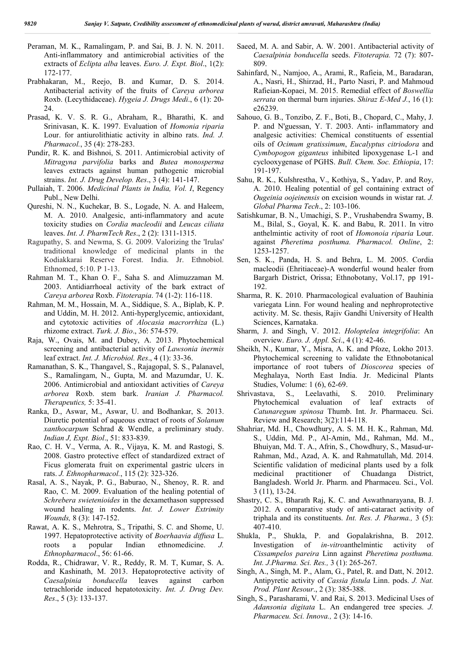- Peraman, M. K., Ramalingam, P. and Sai, B. J. N. N. 2011. Anti-inflammatory and antimicrobial activities of the extracts of *Eclipta alba* leaves. *Euro. J. Expt. Biol*., 1(2): 172-177.
- Prabhakaran, M., Reejo, B. and Kumar, D. S. 2014. Antibacterial activity of the fruits of *Careya arborea*  Roxb. (Lecythidaceae). *Hygeia J. Drugs Medi*., 6 (1): 20- 24.
- Prasad, K. V. S. R. G., Abraham, R., Bharathi, K. and Srinivasan, K. K. 1997. Evaluation of *Homonia riparia*  Lour. for antiurolithiatic activity in albino rats. *Ind. J. Pharmacol.*, 35 (4): 278-283.
- Pundir, R. K. and Bishnoi, S. 2011. Antimicrobial activity of *Mitragyna parvifolia* barks and *Butea monosperma*  leaves extracts against human pathogenic microbial strains. *Int. J. Drug Develop. Res*., 3 (4): 141-147.
- Pullaiah, T. 2006. *Medicinal Plants in India, Vol. I*, Regency Publ., New Delhi.
- Qureshi, N. N., Kuchekar, B. S., Logade, N. A. and Haleem, M. A. 2010. Analgesic, anti-inflammatory and acute toxicity studies on *Cordia macleodii* and *Leucas ciliata*  leaves. *Int. J. PharmTech Res*., 2 (2): 1311-1315.
- Ragupathy, S. and Newma, S. G. 2009. Valorizing the 'Irulas' traditional knowledge of medicinal plants in the Kodiakkarai Reserve Forest. India. Jr. Ethnobiol. Ethnomed, 5:10. P 1-13.
- Rahman M. T., Khan O. F., Saha S. and Alimuzzaman M. 2003. Antidiarrhoeal activity of the bark extract of *Careya arborea* Roxb. *Fitoterapia*. 74 (1-2): 116-118.
- Rahman, M. M., Hossain, M. A., Siddique, S. A., Biplab, K. P. and Uddin, M. H. 2012. Anti-hyperglycemic, antioxidant, and cytotoxic activities of *Alocasia macrorrhiza* (L.) rhizome extract. *Turk. J. Bio*., 36: 574-579.
- Raja, W., Ovais, M. and Dubey, A. 2013. Phytochemical screening and antibacterial activity of *Lawsonia inermis*  leaf extract. *Int. J. Microbiol. Res*., 4 (1): 33-36.
- Ramanathan, S. K., Thangavel, S., Rajagopal, S. S., Palanavel, S., Ramalingam, N., Gupta, M. and Mazumdar, U. K. 2006. Antimicrobial and antioxidant activities of *Careya arborea* Roxb. stem bark. *Iranian J. Pharmacol. Therapeutics,* 5: 35-41.
- Ranka, D., Aswar, M., Aswar, U. and Bodhankar, S. 2013. Diuretic potential of aqueous extract of roots of *Solanum xanthocarpum* Schrad & Wendle, a preliminary study. *Indian J, Expt. Biol*., 51: 833-839.
- Rao, C. H. V., Verma, A. R., Vijaya, K. M. and Rastogi, S. 2008. Gastro protective effect of standardized extract of Ficus glomerata fruit on experimental gastric ulcers in rats. *J. Ethnopharmacol.*, 115 (2): 323-326.
- Rasal, A. S., Nayak, P. G., Baburao, N., Shenoy, R. R. and Rao, C. M. 2009. Evaluation of the healing potential of *Schrebera swietenioides* in the dexamethason suppressed wound healing in rodents. *Int. J. Lower Extrimity Wounds,* 8 (3): 147-152.
- Rawat, A. K. S., Mehrotra, S., Tripathi, S. C. and Shome, U. 1997. Hepatoprotective activity of *Boerhaavia diffusa* L. roots a popular Indian ethnomedicine. *J. Ethnopharmacol*., 56: 61-66.
- Rodda, R., Chidrawar, V. R., Reddy, R. M. T, Kumar, S. A. and Kashinath, M. 2013. Hepatoprotective activity of *Caesalpinia bonducella* leaves against carbon tetrachloride induced hepatotoxicity. *Int. J. Drug Dev. Res*., 5 (3): 133-137.
- Saeed, M. A. and Sabir, A. W. 2001. Antibacterial activity of *Caesalpinia bonducella* seeds. *Fitoterapia.* 72 (7): 807- 809.
- Sahinfard, N., Namjoo, A., Arami, R., Rafieia, M., Baradaran, A., Nasri, H., Shirzad, H., Parto Nasri, P. and Mahmoud Rafieian-Kopaei, M. 2015. Remedial effect of *Boswellia serrata* on thermal burn injuries. *Shiraz E-Med J.*, 16 (1): e26239.
- Sahouo, G. B., Tonzibo, Z. F., Boti, B., Chopard, C., Mahy, J. P. and N'guessan, Y. T. 2003. Anti- inflammatory and analgesic activities: Chemical constituents of essential oils of *Ocimum gratissimum*, *Eucalyptus citriodora* and *Cymbopogon giganteus* inhibited lipoxygenase L-1 and cyclooxygenase of PGHS. *Bull. Chem. Soc. Ethiopia*, 17: 191-197.
- Sahu, R. K., Kulshrestha, V., Kothiya, S., Yadav, P. and Roy, A. 2010. Healing potential of gel containing extract of *Ougeinia oojeinensis* on excision wounds in wistar rat. *J. Global Pharma Tech*., 2: 103-106.
- Satishkumar, B. N., Umachigi, S. P., Vrushabendra Swamy, B. M., Bilal, S., Goyal, K. K. and Babu, R. 2011. In vitro anthelmintic activity of root of *Homonoia riparia* Lour. against *Pheretima posthuma. Pharmacol. Online*, 2: 1253-1257.
- Sen, S. K., Panda, H. S. and Behra, L. M. 2005. Cordia macleodii (Ehritiaceae)-A wonderful wound healer from Bargarh District, Orissa; Ethnobotany, Vol.17, pp 191- 192.
- Sharma, R. K. 2010. Pharmacological evaluation of Bauhinia variegata Linn. For wound healing and nephroprotective activity. M. Sc. thesis, Rajiv Gandhi University of Health Sciences, Karnataka.
- Sharm, J. and Singh, V. 2012. *Holoptelea integrifolia*: An overview. *Euro. J. Appl. Sci*., 4 (1): 42-46.
- Sheikh, N., Kumar, Y., Misra, A. K. and Pfoze, Lokho 2013. Phytochemical screening to validate the Ethnobotanical importance of root tubers of *Dioscorea* species of Meghalaya, North East India. Jr. Medicinal Plants Studies, Volume: 1 (6), 62-69.
- Shrivastava, S., Leelavathi, S. 2010. Preliminary Phytochemical evaluation of leaf extracts of *Catunaregum spinosa* Thumb. Int. Jr. Pharmaceu. Sci. Review and Research; 3(2):114-118.
- Shahriar, Md. H., Chowdhury, A. S. M. H. K., Rahman, Md. S., Uddin, Md. P., Al-Amin, Md., Rahman, Md. M., Bhuiyan, Md. T. A., Afrin, S., Chowdhury, S., Masud-ur-Rahman, Md., Azad, A. K. and Rahmatullah, Md. 2014. Scientific validation of medicinal plants used by a folk medicinal practitioner of Chuadanga District, Bangladesh. World Jr. Pharm. and Pharmaceu. Sci., Vol. 3 (11), 13-24.
- Shastry, C. S., Bharath Raj, K. C. and Aswathnarayana, B. J. 2012. A comparative study of anti-cataract activity of triphala and its constituents. *Int. Res. J. Pharma.,* 3 (5): 407-410.
- Shukla, P., Shukla, P. and Gopalakrishna, B. 2012. Investigation of *in-vitro*anthelmintic activity of *Cissampelos pareira* Linn against *Pheretima posthuma. Int. J.Pharma. Sci. Res.,* 3 (1): 265-267.
- Singh, A., Singh, M. P., Alam, G., Patel, R. and Datt, N. 2012. Antipyretic activity of *Cassia fistula* Linn. pods. *J. Nat. Prod. Plant Resour*., 2 (3): 385-388.
- Singh, S., Parasharami, V. and Rai, S. 2013. Medicinal Uses of *Adansonia digitata* L. An endangered tree species. *J. Pharmaceu. Sci. Innova.,* 2 (3): 14-16.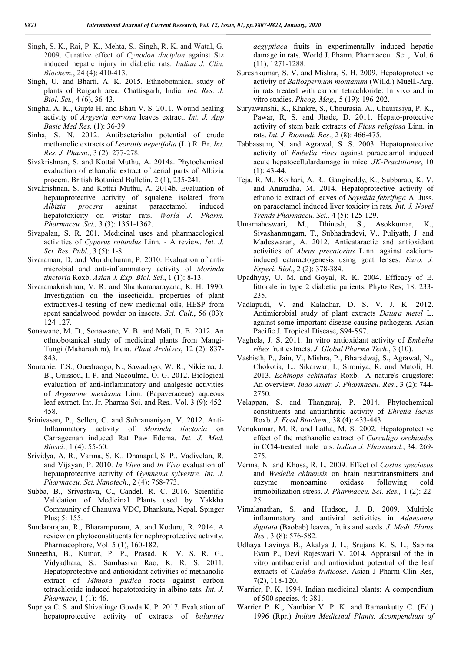- Singh, S. K., Rai, P. K., Mehta, S., Singh, R. K. and Watal, G. 2009. Curative effect of *Cynodon dactylon* against Stz induced hepatic injury in diabetic rats. *Indian J. Clin. Biochem.*, 24 (4): 410-413.
- Singh, U. and Bharti, A. K. 2015. Ethnobotanical study of plants of Raigarh area, Chattisgarh, India. *Int. Res. J. Biol. Sci.,* 4 (6), 36-43.
- Singhal A. K., Gupta H. and Bhati V. S. 2011. Wound healing activity of *Argyeria nervosa* leaves extract. *Int. J. App Basic Med Res.* (1): 36-39.
- Sinha, S. N. 2012. Antibacterialm potential of crude methanolic extracts of *Leonotis nepetifolia* (L.) R. Br. *Int. Res. J. Pharm*., 3 (2): 277-278.
- Sivakrishnan, S. and Kottai Muthu, A. 2014a. Phytochemical evaluation of ethanolic extract of aerial parts of Albizia procera. British Botanical Bulletin, 2 (1), 235-241.
- Sivakrishnan, S. and Kottai Muthu, A. 2014b. Evaluation of hepatoprotective activity of squalene isolated from *Albizia procera* against paracetamol induced hepatotoxicity on wistar rats. *World J. Pharm. Pharmaceu. Sci.,* 3 (3): 1351-1362.
- Sivapalan, S. R. 201. Medicinal uses and pharmacological activities of *Cyperus rotundus* Linn. - A review. *Int. J. Sci. Res. Publ.*, 3 (5): 1-8.
- Sivaraman, D. and Muralidharan, P. 2010. Evaluation of antimicrobial and anti-inflammatory activity of *Morinda tinctoria* Roxb. *Asian J. Exp. Biol. Sci*., 1 (1): 8-13.
- Sivaramakrishnan, V. R. and Shankaranarayana, K. H. 1990. Investigation on the insecticidal properties of plant extractives-I testing of new medicinal oils, HESP from spent sandalwood powder on insects. *Sci. Cult*., 56 (03): 124-127.
- Sonawane, M. D., Sonawane, V. B. and Mali, D. B. 2012. An ethnobotanical study of medicinal plants from Mangi-Tungi (Maharashtra), India. *Plant Archives*, 12 (2): 837- 843.
- Sourabie, T.S., Ouedraogo, N., Sawadogo, W. R., Nikiema, J. B., Guissou, I. P. and Nacoulma, O. G. 2012. Biological evaluation of anti-inflammatory and analgesic activities of *Argemone mexicana* Linn. (Papaveraceae) aqueous leaf extract. Int. Jr. Pharma Sci. and Res., Vol. 3 (9): 452- 458.
- Srinivasan, P., Sellen, C. and Subramaniyan, V. 2012. Anti-Inflammatory activity of *Morinda tinctoria* on Carrageenan induced Rat Paw Edema. *Int. J. Med. Biosci*., 1 (4): 55-60.
- Srividya, A. R., Varma, S. K., Dhanapal, S. P., Vadivelan, R. and Vijayan, P. 2010. *In Vitro* and *In Vivo* evaluation of hepatoprotective activity of *Gymnema sylvestre. Int. J. Pharmaceu. Sci. Nanotech*., 2 (4): 768-773.
- Subba, B., Srivastava, C., Candel, R. C. 2016. Scientific Validation of Medicinal Plants used by Yakkha Community of Chanuwa VDC, Dhankuta, Nepal. Spinger Plus; 5: 155.
- Sundararajan, R., Bharampuram, A. and Koduru, R. 2014. A review on phytoconstituents for nephroprotective activity. Pharmacophore, Vol. 5 (1), 160-182.
- Suneetha, B., Kumar, P. P., Prasad, K. V. S. R. G., Vidyadhara, S., Sambasiva Rao, K. R. S. 2011. Hepatoprotective and antioxidant activities of methanolic extract of *Mimosa pudica* roots against carbon tetrachloride induced hepatotoxicity in albino rats. *Int. J. Pharmacy*, 1 (1): 46.
- Supriya C. S. and Shivalinge Gowda K. P. 2017. Evaluation of hepatoprotective activity of extracts of *balanites*

*aegyptiaca* fruits in experimentally induced hepatic damage in rats. World J. Pharm. Pharmaceu. Sci., Vol. 6 (11), 1271-1288.

- Sureshkumar, S. V. and Mishra, S. H. 2009. Hepatoprotective activity of *Baliospermum montanum* (Willd.) Muell.-Arg. in rats treated with carbon tetrachloride: In vivo and in vitro studies. *Phcog. Mag.,* 5 (19): 196-202.
- Suryawanshi, K., Khakre, S., Chourasia, A., Chaurasiya, P. K., Pawar, R, S. and Jhade, D. 2011. Hepato-protective activity of stem bark extracts of *Ficus religiosa* Linn. in rats. *Int. J. Biomedi. Res*., 2 (8): 466-475.
- Tabbassum, N. and Agrawal, S. S. 2003. Hepatoprotective activity of *Embelia ribes* against paracetamol induced acute hepatocellulardamage in mice. *JK-Practitioner*, 10  $(1): 43-44.$
- Teja, R. M., Kothari, A. R., Gangireddy, K., Subbarao, K. V. and Anuradha, M. 2014. Hepatoprotective activity of ethanolic extract of leaves of *Soymida febrifuga* A. Juss. on paracetamol induced liver toxicity in rats. *Int. J. Novel Trends Pharmaceu. Sci.,* 4 (5): 125-129.
- Umamaheswari, M., Dhinesh, S., Asokkumar, K., Sivashanmugam, T., Subhadradevi, V., Puliyath, J. and Madeswaran, A. 2012. Anticataractic and antioxidant activities of *Abrus precatorius* Linn. against calciuminduced cataractogenesis using goat lenses. *Euro. J. Experi. Biol.*, 2 (2): 378-384.
- Upadhyay, U. M. and Goyal, R. K. 2004. Efficacy of E. littorale in type 2 diabetic patients. Phyto Res; 18: 233- 235.
- Vadlapudi, V. and Kaladhar, D. S. V. J. K. 2012. Antimicrobial study of plant extracts *Datura metel* L. against some important disease causing pathogens. Asian Pacific J. Tropical Disease, S94-S97.
- Vaghela, J. S. 2011. In vitro antioxidant activity of *Embelia ribes* fruit extracts. *J. Global Pharma Tech*., 3 (10).
- Vashisth, P., Jain, V., Mishra, P., Bharadwaj, S., Agrawal, N., Chokotia, L., Sikarwar, I., Sironiya, R. and Matoli, H. 2013. *Echinops echinatus* Roxb.- A nature's drugstore: An overview. *Indo Amer. J. Pharmaceu. Res*., 3 (2): 744- 2750.
- Velappan, S. and Thangaraj, P. 2014. Phytochemical constituents and antiarthritic activity of *Ehretia laevis*  Roxb. *J. Food Biochem.,* 38 (4): 433-443.
- Venukumar, M. R. and Latha, M. S. 2002. Hepatoprotective effect of the methanolic extract of *Curculigo orchioides*  in CCl4-treated male rats. *Indian J. Pharmacol*., 34: 269- 275.
- Verma, N. and Khosa, R. L. 2009. Effect of *Costus speciosus*  and *Wedelia chinensis* on brain neurotransmitters and enzyme monoamine oxidase following cold immobilization stress. *J. Pharmaceu. Sci. Res.,* 1 (2): 22- 25.
- Vimalanathan, S. and Hudson, J. B. 2009. Multiple inflammatory and antiviral activities in *Adansonia digitata* (Baobab) leaves, fruits and seeds. *J. Medi. Plants Res.,* 3 (8): 576-582.
- Udhaya Lavinya B., Akalya J. L., Srujana K. S. L., Sabina Evan P., Devi Rajeswari V. 2014. Appraisal of the in vitro antibacterial and antioxidant potential of the leaf extracts of *Cadaba fruticosa*. Asian J Pharm Clin Res, 7(2), 118-120.
- Warrier, P. K. 1994. Indian medicinal plants: A compendium of 500 species. 4: 381.
- Warrier P. K., Nambiar V. P. K. and Ramankutty C. (Ed.) 1996 (Rpr.) *Indian Medicinal Plants. Acompendium of*